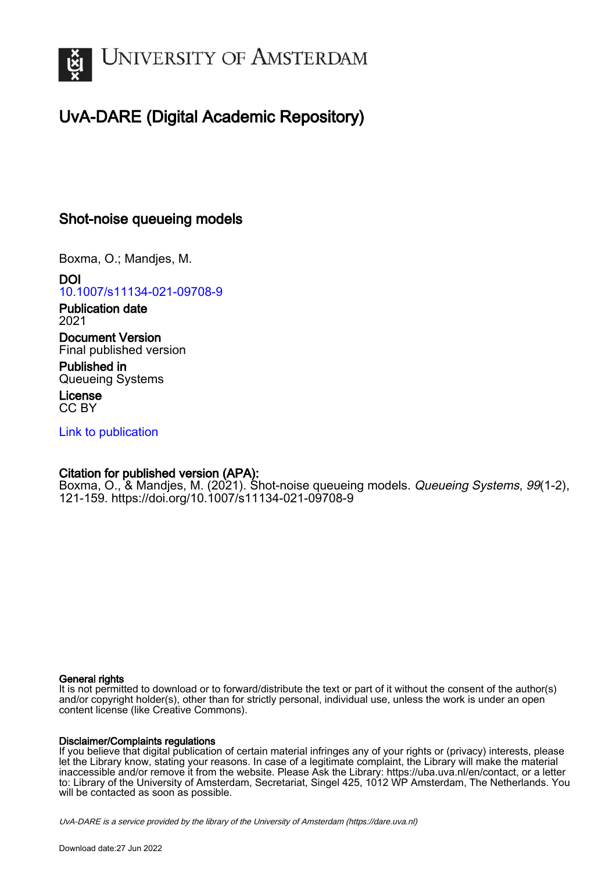

# UvA-DARE (Digital Academic Repository)

## Shot-noise queueing models

Boxma, O.; Mandjes, M.

DOI [10.1007/s11134-021-09708-9](https://doi.org/10.1007/s11134-021-09708-9)

Publication date 2021

Document Version Final published version

Published in Queueing Systems

License CC BY

[Link to publication](https://dare.uva.nl/personal/pure/en/publications/shotnoise-queueing-models(9c638c2c-efa7-425b-8a49-6a9c544970e1).html)

## Citation for published version (APA):

Boxma, O., & Mandjes, M. (2021). Shot-noise queueing models. Queueing Systems, 99(1-2), 121-159. <https://doi.org/10.1007/s11134-021-09708-9>

## General rights

It is not permitted to download or to forward/distribute the text or part of it without the consent of the author(s) and/or copyright holder(s), other than for strictly personal, individual use, unless the work is under an open content license (like Creative Commons).

## Disclaimer/Complaints regulations

If you believe that digital publication of certain material infringes any of your rights or (privacy) interests, please let the Library know, stating your reasons. In case of a legitimate complaint, the Library will make the material inaccessible and/or remove it from the website. Please Ask the Library: https://uba.uva.nl/en/contact, or a letter to: Library of the University of Amsterdam, Secretariat, Singel 425, 1012 WP Amsterdam, The Netherlands. You will be contacted as soon as possible.

UvA-DARE is a service provided by the library of the University of Amsterdam (http*s*://dare.uva.nl)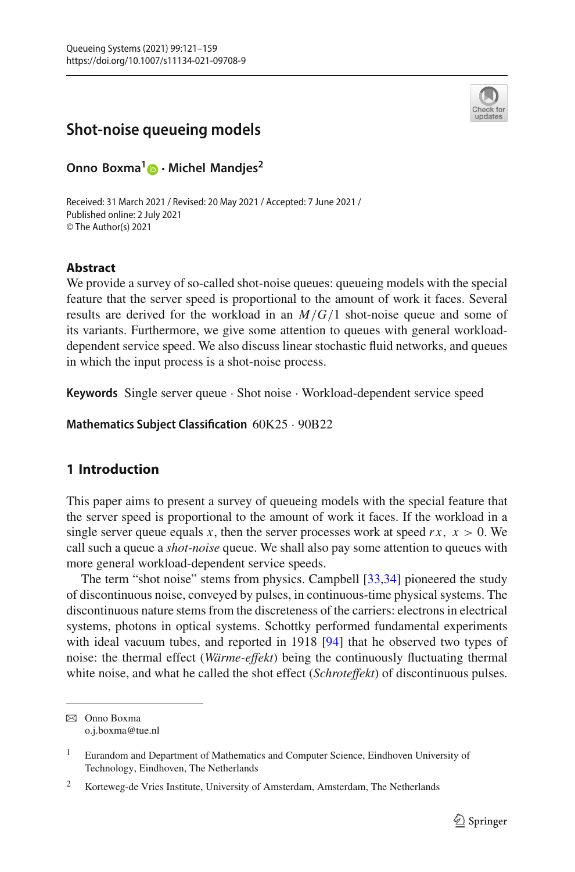

## **Shot-noise queueing models**

**Onno Boxma[1](http://orcid.org/0000-0003-4317-5380) · Michel Mandjes<sup>2</sup>**

Received: 31 March 2021 / Revised: 20 May 2021 / Accepted: 7 June 2021 / Published online: 2 July 2021 © The Author(s) 2021

## **Abstract**

We provide a survey of so-called shot-noise queues: queueing models with the special feature that the server speed is proportional to the amount of work it faces. Several results are derived for the workload in an *M*/*G*/1 shot-noise queue and some of its variants. Furthermore, we give some attention to queues with general workloaddependent service speed. We also discuss linear stochastic fluid networks, and queues in which the input process is a shot-noise process.

**Keywords** Single server queue · Shot noise · Workload-dependent service speed

**Mathematics Subject Classification** 60K25 · 90B22

## **1 Introduction**

This paper aims to present a survey of queueing models with the special feature that the server speed is proportional to the amount of work it faces. If the workload in a single server queue equals *x*, then the server processes work at speed  $rx$ ,  $x > 0$ . We call such a queue a *shot-noise* queue. We shall also pay some attention to queues with more general workload-dependent service speeds.

The term "shot noise" stems from physics. Campbell [\[33](#page-37-0)[,34](#page-37-1)] pioneered the study of discontinuous noise, conveyed by pulses, in continuous-time physical systems. The discontinuous nature stems from the discreteness of the carriers: electrons in electrical systems, photons in optical systems. Schottky performed fundamental experiments with ideal vacuum tubes, and reported in 1918 [\[94](#page-39-0)] that he observed two types of noise: the thermal effect (*Wärme-effekt*) being the continuously fluctuating thermal white noise, and what he called the shot effect (*Schroteffekt*) of discontinuous pulses.

B Onno Boxma o.j.boxma@tue.nl

<sup>1</sup> Eurandom and Department of Mathematics and Computer Science, Eindhoven University of Technology, Eindhoven, The Netherlands

<sup>2</sup> Korteweg-de Vries Institute, University of Amsterdam, Amsterdam, The Netherlands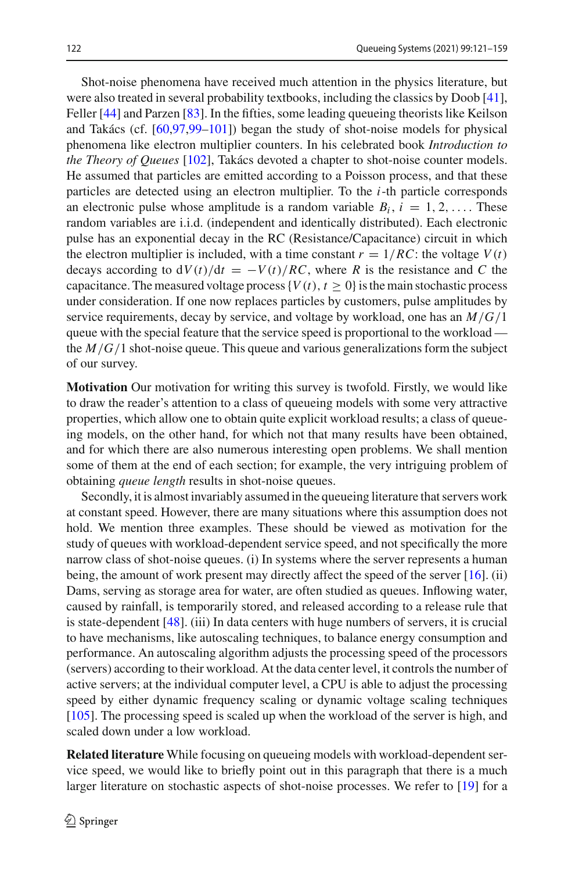Shot-noise phenomena have received much attention in the physics literature, but were also treated in several probability textbooks, including the classics by Doob [\[41](#page-37-2)], Feller [\[44](#page-37-3)] and Parzen [\[83\]](#page-39-1). In the fifties, some leading queueing theorists like Keilson and Takács (cf. [\[60](#page-38-0)[,97](#page-39-2)[,99](#page-39-3)[–101](#page-39-4)]) began the study of shot-noise models for physical phenomena like electron multiplier counters. In his celebrated book *Introduction to the Theory of Queues* [\[102](#page-39-5)], Takács devoted a chapter to shot-noise counter models. He assumed that particles are emitted according to a Poisson process, and that these particles are detected using an electron multiplier. To the *i*-th particle corresponds an electronic pulse whose amplitude is a random variable  $B_i$ ,  $i = 1, 2, \ldots$ . These random variables are i.i.d. (independent and identically distributed). Each electronic pulse has an exponential decay in the RC (Resistance/Capacitance) circuit in which the electron multiplier is included, with a time constant  $r = 1/RC$ : the voltage  $V(t)$ decays according to  $dV(t)/dt = -V(t)/RC$ , where *R* is the resistance and *C* the capacitance. The measured voltage process { $V(t)$ ,  $t \ge 0$ } is the main stochastic process under consideration. If one now replaces particles by customers, pulse amplitudes by service requirements, decay by service, and voltage by workload, one has an *M*/*G*/1 queue with the special feature that the service speed is proportional to the workload the  $M/G/1$  shot-noise queue. This queue and various generalizations form the subject of our survey.

**Motivation** Our motivation for writing this survey is twofold. Firstly, we would like to draw the reader's attention to a class of queueing models with some very attractive properties, which allow one to obtain quite explicit workload results; a class of queueing models, on the other hand, for which not that many results have been obtained, and for which there are also numerous interesting open problems. We shall mention some of them at the end of each section; for example, the very intriguing problem of obtaining *queue length* results in shot-noise queues.

Secondly, it is almost invariably assumed in the queueing literature that servers work at constant speed. However, there are many situations where this assumption does not hold. We mention three examples. These should be viewed as motivation for the study of queues with workload-dependent service speed, and not specifically the more narrow class of shot-noise queues. (i) In systems where the server represents a human being, the amount of work present may directly affect the speed of the server [\[16\]](#page-36-0). (ii) Dams, serving as storage area for water, are often studied as queues. Inflowing water, caused by rainfall, is temporarily stored, and released according to a release rule that is state-dependent [\[48\]](#page-37-4). (iii) In data centers with huge numbers of servers, it is crucial to have mechanisms, like autoscaling techniques, to balance energy consumption and performance. An autoscaling algorithm adjusts the processing speed of the processors (servers) according to their workload. At the data center level, it controls the number of active servers; at the individual computer level, a CPU is able to adjust the processing speed by either dynamic frequency scaling or dynamic voltage scaling techniques [\[105](#page-39-6)]. The processing speed is scaled up when the workload of the server is high, and scaled down under a low workload.

**Related literature** While focusing on queueing models with workload-dependent service speed, we would like to briefly point out in this paragraph that there is a much larger literature on stochastic aspects of shot-noise processes. We refer to [\[19\]](#page-37-5) for a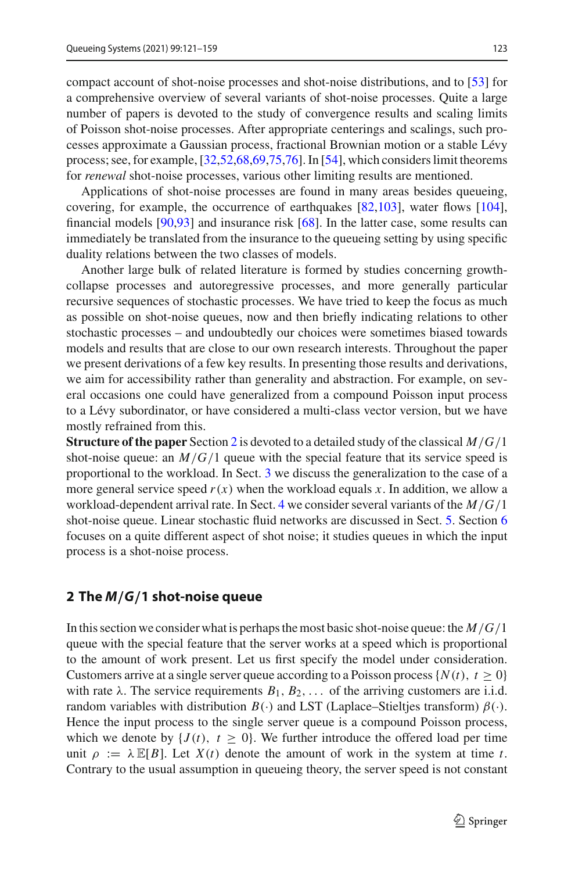compact account of shot-noise processes and shot-noise distributions, and to [\[53\]](#page-38-1) for a comprehensive overview of several variants of shot-noise processes. Quite a large number of papers is devoted to the study of convergence results and scaling limits of Poisson shot-noise processes. After appropriate centerings and scalings, such processes approximate a Gaussian process, fractional Brownian motion or a stable Lévy process; see, for example, [\[32](#page-37-6)[,52](#page-38-2)[,68](#page-38-3)[,69](#page-38-4)[,75](#page-38-5)[,76](#page-38-6)]. In [\[54\]](#page-38-7), which considers limit theorems for *renewal* shot-noise processes, various other limiting results are mentioned.

Applications of shot-noise processes are found in many areas besides queueing, covering, for example, the occurrence of earthquakes [\[82](#page-39-7)[,103\]](#page-39-8), water flows [\[104](#page-39-9)], financial models [\[90](#page-39-10)[,93](#page-39-11)] and insurance risk [\[68\]](#page-38-3). In the latter case, some results can immediately be translated from the insurance to the queueing setting by using specific duality relations between the two classes of models.

Another large bulk of related literature is formed by studies concerning growthcollapse processes and autoregressive processes, and more generally particular recursive sequences of stochastic processes. We have tried to keep the focus as much as possible on shot-noise queues, now and then briefly indicating relations to other stochastic processes – and undoubtedly our choices were sometimes biased towards models and results that are close to our own research interests. Throughout the paper we present derivations of a few key results. In presenting those results and derivations, we aim for accessibility rather than generality and abstraction. For example, on several occasions one could have generalized from a compound Poisson input process to a Lévy subordinator, or have considered a multi-class vector version, but we have mostly refrained from this.

**Structure of the paper** Section [2](#page-3-0) is devoted to a detailed study of the classical *M*/*G*/1 shot-noise queue: an  $M/G/1$  queue with the special feature that its service speed is proportional to the workload. In Sect. [3](#page-14-0) we discuss the generalization to the case of a more general service speed  $r(x)$  when the workload equals x. In addition, we allow a workload-dependent arrival rate. In Sect. [4](#page-20-0) we consider several variants of the *M*/*G*/1 shot-noise queue. Linear stochastic fluid networks are discussed in Sect. [5.](#page-30-0) Section [6](#page-33-0) focuses on a quite different aspect of shot noise; it studies queues in which the input process is a shot-noise process.

### <span id="page-3-0"></span>**2 The** *M/G/***1 shot-noise queue**

In this section we consider what is perhaps the most basic shot-noise queue: the *M*/*G*/1 queue with the special feature that the server works at a speed which is proportional to the amount of work present. Let us first specify the model under consideration. Customers arrive at a single server queue according to a Poisson process  $\{N(t), t \ge 0\}$ with rate  $\lambda$ . The service requirements  $B_1, B_2, \ldots$  of the arriving customers are i.i.d. random variables with distribution  $B(\cdot)$  and LST (Laplace–Stieltjes transform)  $\beta(\cdot)$ . Hence the input process to the single server queue is a compound Poisson process, which we denote by  $\{J(t), t \geq 0\}$ . We further introduce the offered load per time unit  $\rho := \lambda \mathbb{E}[B]$ . Let  $X(t)$  denote the amount of work in the system at time *t*. Contrary to the usual assumption in queueing theory, the server speed is not constant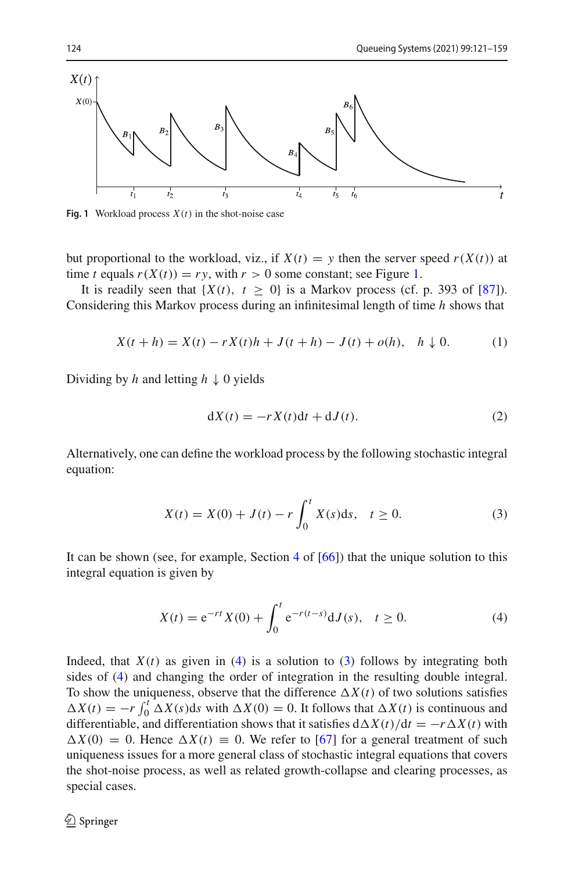

<span id="page-4-0"></span>**Fig. 1** Workload process *X*(*t*) in the shot-noise case

but proportional to the workload, viz., if  $X(t) = y$  then the server speed  $r(X(t))$  at time *t* equals  $r(X(t)) = ry$ , with  $r > 0$  some constant; see Figure [1.](#page-4-0)

It is readily seen that  $\{X(t), t \geq 0\}$  is a Markov process (cf. p. 393 of [\[87\]](#page-39-12)). Considering this Markov process during an infinitesimal length of time *h* shows that

<span id="page-4-3"></span>
$$
X(t + h) = X(t) - rX(t)h + J(t + h) - J(t) + o(h), \quad h \downarrow 0.
$$
 (1)

Dividing by *h* and letting *h* ↓ 0 yields

$$
dX(t) = -rX(t)dt + dJ(t).
$$
 (2)

Alternatively, one can define the workload process by the following stochastic integral equation:

<span id="page-4-2"></span>
$$
X(t) = X(0) + J(t) - r \int_0^t X(s) \, \mathrm{d}s, \quad t \ge 0. \tag{3}
$$

It can be shown (see, for example, Section [4](#page-20-0) of [\[66](#page-38-8)]) that the unique solution to this integral equation is given by

<span id="page-4-1"></span>
$$
X(t) = e^{-rt}X(0) + \int_0^t e^{-r(t-s)}dJ(s), \quad t \ge 0.
$$
 (4)

Indeed, that  $X(t)$  as given in [\(4\)](#page-4-1) is a solution to [\(3\)](#page-4-2) follows by integrating both sides of [\(4\)](#page-4-1) and changing the order of integration in the resulting double integral. To show the uniqueness, observe that the difference  $\Delta X(t)$  of two solutions satisfies  $\Delta X(t) = -r \int_0^t \Delta X(s) ds$  with  $\Delta X(0) = 0$ . It follows that  $\Delta X(t)$  is continuous and differentiable, and differentiation shows that it satisfies  $d\Delta X(t)/dt = -r\Delta X(t)$  with  $\Delta X(0) = 0$ . Hence  $\Delta X(t) \equiv 0$ . We refer to [\[67](#page-38-9)] for a general treatment of such uniqueness issues for a more general class of stochastic integral equations that covers the shot-noise process, as well as related growth-collapse and clearing processes, as special cases.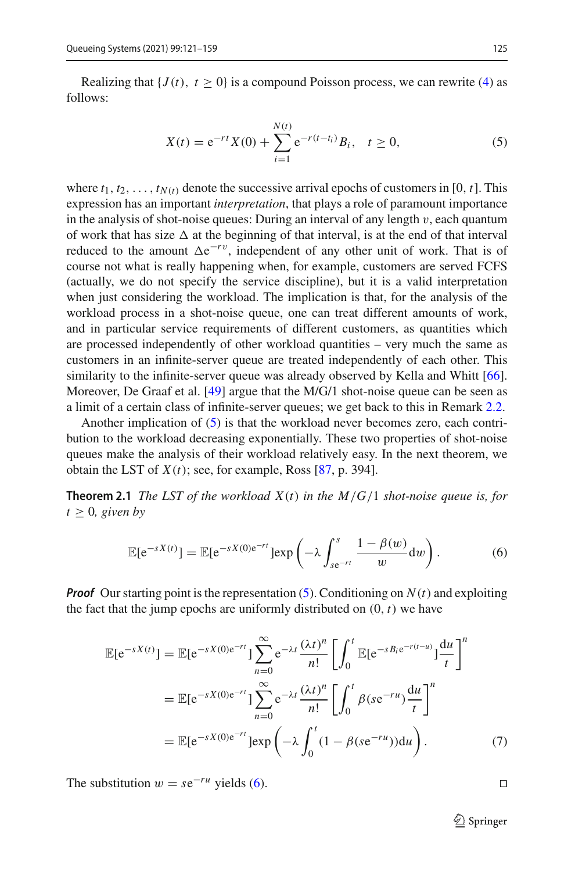Realizing that  ${J(t), t \ge 0}$  is a compound Poisson process, we can rewrite [\(4\)](#page-4-1) as follows:

<span id="page-5-1"></span>
$$
X(t) = e^{-rt} X(0) + \sum_{i=1}^{N(t)} e^{-r(t-t_i)} B_i, \quad t \ge 0,
$$
\n(5)

where  $t_1, t_2, \ldots, t_{N(t)}$  denote the successive arrival epochs of customers in [0,  $t$ ]. This expression has an important *interpretation*, that plays a role of paramount importance in the analysis of shot-noise queues: During an interval of any length  $v$ , each quantum of work that has size  $\Delta$  at the beginning of that interval, is at the end of that interval reduced to the amount  $\Delta e^{-rv}$ , independent of any other unit of work. That is of course not what is really happening when, for example, customers are served FCFS (actually, we do not specify the service discipline), but it is a valid interpretation when just considering the workload. The implication is that, for the analysis of the workload process in a shot-noise queue, one can treat different amounts of work, and in particular service requirements of different customers, as quantities which are processed independently of other workload quantities – very much the same as customers in an infinite-server queue are treated independently of each other. This similarity to the infinite-server queue was already observed by Kella and Whitt [\[66](#page-38-8)]. Moreover, De Graaf et al. [\[49](#page-37-7)] argue that the M/G/1 shot-noise queue can be seen as a limit of a certain class of infinite-server queues; we get back to this in Remark [2.2.](#page-5-0)

Another implication of [\(5\)](#page-5-1) is that the workload never becomes zero, each contribution to the workload decreasing exponentially. These two properties of shot-noise queues make the analysis of their workload relatively easy. In the next theorem, we obtain the LST of  $X(t)$ ; see, for example, Ross [\[87,](#page-39-12) p. 394].

**Theorem 2.1** *The LST of the workload X*(*t*) *in the M*/*G*/1 *shot-noise queue is, for*  $t \geq 0$ *, given by* 

<span id="page-5-4"></span><span id="page-5-2"></span>
$$
\mathbb{E}[e^{-sX(t)}] = \mathbb{E}[e^{-sX(0)e^{-rt}}] \exp\left(-\lambda \int_{se^{-rt}}^{s} \frac{1-\beta(w)}{w} dw\right).
$$
 (6)

*Proof* Our starting point is the representation [\(5\)](#page-5-1). Conditioning on  $N(t)$  and exploiting the fact that the jump epochs are uniformly distributed on  $(0, t)$  we have

<span id="page-5-3"></span>
$$
\mathbb{E}[e^{-sX(t)}] = \mathbb{E}[e^{-sX(0)e^{-rt}}] \sum_{n=0}^{\infty} e^{-\lambda t} \frac{(\lambda t)^n}{n!} \left[ \int_0^t \mathbb{E}[e^{-sB_t e^{-r(t-u)}}] \frac{du}{t} \right]^n
$$
  
\n
$$
= \mathbb{E}[e^{-sX(0)e^{-rt}}] \sum_{n=0}^{\infty} e^{-\lambda t} \frac{(\lambda t)^n}{n!} \left[ \int_0^t \beta (se^{-ru}) \frac{du}{t} \right]^n
$$
  
\n
$$
= \mathbb{E}[e^{-sX(0)e^{-rt}}] \exp\left(-\lambda \int_0^t (1 - \beta (se^{-ru})) du\right).
$$
 (7)

<span id="page-5-0"></span>The substitution  $w = s e^{-ru}$  yields [\(6\)](#page-5-2).

 $\mathcal{D}$  Springer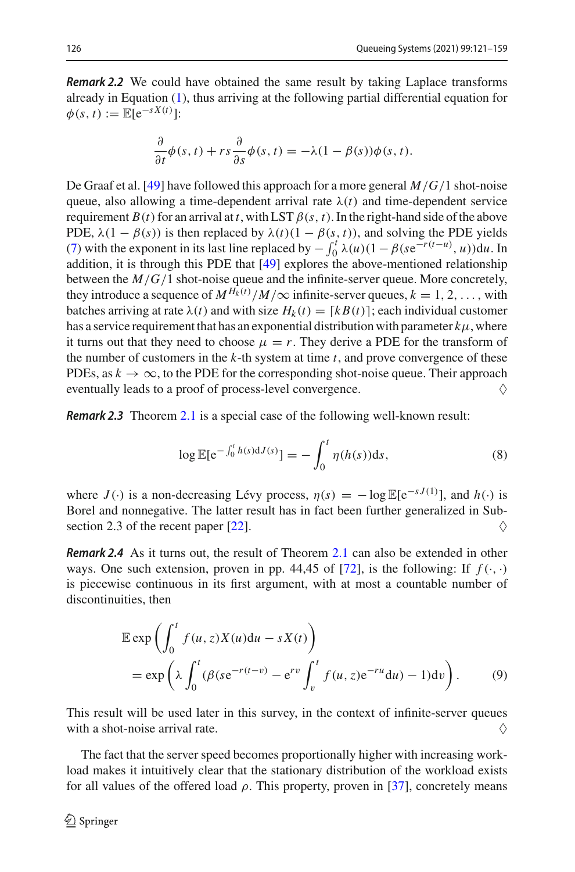*Remark 2.2* We could have obtained the same result by taking Laplace transforms already in Equation [\(1\)](#page-4-3), thus arriving at the following partial differential equation for  $\phi(s, t) := \mathbb{E}[e^{-sX(t)}]:$ 

$$
\frac{\partial}{\partial t}\phi(s,t) + rs\frac{\partial}{\partial s}\phi(s,t) = -\lambda(1-\beta(s))\phi(s,t).
$$

De Graaf et al. [\[49\]](#page-37-7) have followed this approach for a more general *M*/*G*/1 shot-noise queue, also allowing a time-dependent arrival rate  $\lambda(t)$  and time-dependent service requirement  $B(t)$  for an arrival at *t*, with LST  $\beta(s, t)$ . In the right-hand side of the above PDE,  $\lambda(1 - \beta(s))$  is then replaced by  $\lambda(t)(1 - \beta(s, t))$ , and solving the PDE yields [\(7\)](#page-5-3) with the exponent in its last line replaced by  $-\int_0^t \lambda(u)(1-\beta(se^{-r(t-u)}, u))du$ . In addition, it is through this PDE that [\[49](#page-37-7)] explores the above-mentioned relationship between the *M*/*G*/1 shot-noise queue and the infinite-server queue. More concretely, they introduce a sequence of  $M^{H_k(t)}/M/\infty$  infinite-server queues,  $k = 1, 2, \ldots$ , with batches arriving at rate  $\lambda(t)$  and with size  $H_k(t) = [kB(t)]$ ; each individual customer has a service requirement that has an exponential distribution with parameter  $k\mu$ , where it turns out that they need to choose  $\mu = r$ . They derive a PDE for the transform of the number of customers in the *k*-th system at time *t*, and prove convergence of these PDEs, as  $k \to \infty$ , to the PDE for the corresponding shot-noise queue. Their approach eventually leads to a proof of process-level convergence. eventually leads to a proof of process-level convergence.

*Remark 2.3* Theorem [2.1](#page-5-4) is a special case of the following well-known result:

$$
\log \mathbb{E}[e^{-\int_0^t h(s) dJ(s)}] = -\int_0^t \eta(h(s)) ds,
$$
\n(8)

where  $J(\cdot)$  is a non-decreasing Lévy process,  $\eta(s) = -\log \mathbb{E}[e^{-sJ(1)}]$ , and  $h(\cdot)$  is Borel and nonnegative. The latter result has in fact been further generalized in Sub-section 2.3 of the recent paper [\[22\]](#page-37-8).  $\Diamond$ 

*Remark 2.4* As it turns out, the result of Theorem [2.1](#page-5-4) can also be extended in other ways. One such extension, proven in pp. 44,45 of [\[72\]](#page-38-10), is the following: If  $f(\cdot, \cdot)$ is piecewise continuous in its first argument, with at most a countable number of discontinuities, then

<span id="page-6-0"></span>
$$
\mathbb{E} \exp \left( \int_0^t f(u, z) X(u) \mathrm{d}u - s X(t) \right)
$$
  
=  $\exp \left( \lambda \int_0^t (\beta (s e^{-r(t-v)} - e^{rv} \int_v^t f(u, z) e^{-ru} \mathrm{d}u) - 1) \mathrm{d}v \right).$  (9)

This result will be used later in this survey, in the context of infinite-server queues with a shot-noise arrival rate.  $\Diamond$ 

The fact that the server speed becomes proportionally higher with increasing workload makes it intuitively clear that the stationary distribution of the workload exists for all values of the offered load  $\rho$ . This property, proven in [\[37](#page-37-9)], concretely means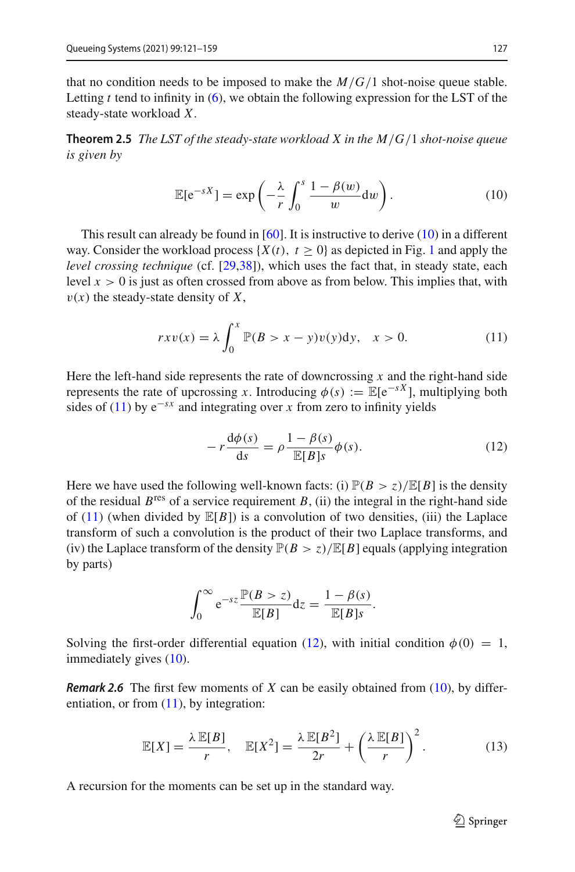that no condition needs to be imposed to make the  $M/G/1$  shot-noise queue stable. Letting *t* tend to infinity in [\(6\)](#page-5-2), we obtain the following expression for the LST of the steady-state workload *X*.

**Theorem 2.5** *The LST of the steady-state workload X in the M*/*G*/1 *shot-noise queue is given by*

<span id="page-7-4"></span><span id="page-7-0"></span>
$$
\mathbb{E}[e^{-sX}] = \exp\left(-\frac{\lambda}{r} \int_0^s \frac{1-\beta(w)}{w} dw\right).
$$
 (10)

This result can already be found in [\[60\]](#page-38-0). It is instructive to derive [\(10\)](#page-7-0) in a different way. Consider the workload process  $\{X(t), t \geq 0\}$  as depicted in Fig. [1](#page-4-0) and apply the *level crossing technique* (cf. [\[29](#page-37-10)[,38\]](#page-37-11)), which uses the fact that, in steady state, each level  $x > 0$  is just as often crossed from above as from below. This implies that, with  $v(x)$  the steady-state density of X,

<span id="page-7-1"></span>
$$
rxv(x) = \lambda \int_0^x \mathbb{P}(B > x - y)v(y)dy, \quad x > 0.
$$
 (11)

Here the left-hand side represents the rate of downcrossing *x* and the right-hand side represents the rate of upcrossing *x*. Introducing  $\phi(s) := \mathbb{E}[e^{-sX}]$ , multiplying both sides of [\(11\)](#page-7-1) by  $e^{-sx}$  and integrating over *x* from zero to infinity yields

<span id="page-7-2"></span>
$$
-r\frac{\mathrm{d}\phi(s)}{\mathrm{d}s} = \rho \frac{1-\beta(s)}{\mathbb{E}[B]s} \phi(s). \tag{12}
$$

Here we have used the following well-known facts: (i)  $\mathbb{P}(B > z)/\mathbb{E}[B]$  is the density of the residual  $B<sup>res</sup>$  of a service requirement  $B$ , (ii) the integral in the right-hand side of  $(11)$  (when divided by  $\mathbb{E}[B]$ ) is a convolution of two densities, (iii) the Laplace transform of such a convolution is the product of their two Laplace transforms, and (iv) the Laplace transform of the density  $\mathbb{P}(B > z)/\mathbb{E}[B]$  equals (applying integration by parts)

$$
\int_0^\infty e^{-sz} \frac{\mathbb{P}(B > z)}{\mathbb{E}[B]} dz = \frac{1 - \beta(s)}{\mathbb{E}[B]s}.
$$

Solving the first-order differential equation [\(12\)](#page-7-2), with initial condition  $\phi(0) = 1$ , immediately gives [\(10\)](#page-7-0).

*Remark 2.6* The first few moments of *X* can be easily obtained from [\(10\)](#page-7-0), by differentiation, or from  $(11)$ , by integration:

<span id="page-7-3"></span>
$$
\mathbb{E}[X] = \frac{\lambda \mathbb{E}[B]}{r}, \quad \mathbb{E}[X^2] = \frac{\lambda \mathbb{E}[B^2]}{2r} + \left(\frac{\lambda \mathbb{E}[B]}{r}\right)^2. \tag{13}
$$

A recursion for the moments can be set up in the standard way.

 $\mathcal{D}$  Springer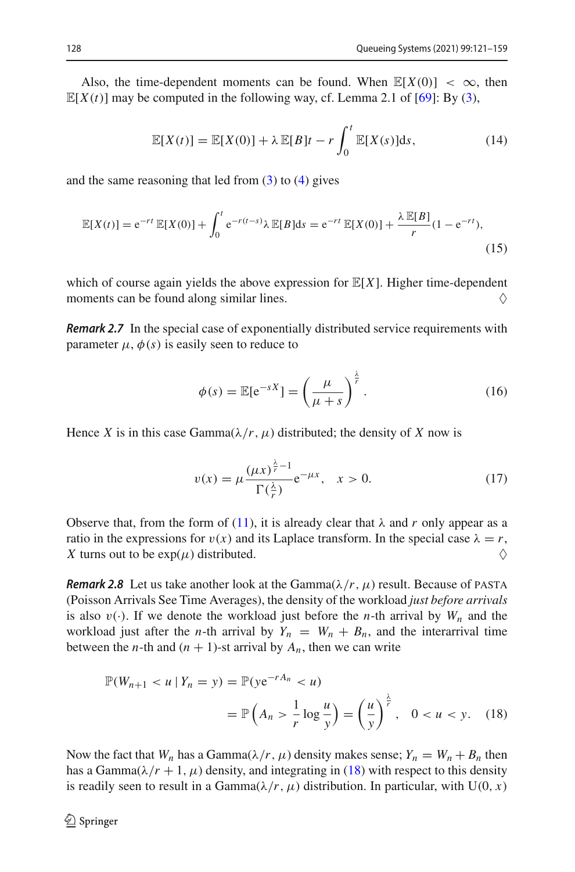Also, the time-dependent moments can be found. When  $\mathbb{E}[X(0)] < \infty$ , then  $\mathbb{E}[X(t)]$  may be computed in the following way, cf. Lemma 2.1 of [\[69](#page-38-4)]: By [\(3\)](#page-4-2),

$$
\mathbb{E}[X(t)] = \mathbb{E}[X(0)] + \lambda \mathbb{E}[B]t - r \int_0^t \mathbb{E}[X(s)]ds,
$$
\n(14)

and the same reasoning that led from  $(3)$  to  $(4)$  gives

$$
\mathbb{E}[X(t)] = e^{-rt} \mathbb{E}[X(0)] + \int_0^t e^{-r(t-s)} \lambda \mathbb{E}[B]ds = e^{-rt} \mathbb{E}[X(0)] + \frac{\lambda \mathbb{E}[B]}{r} (1 - e^{-rt}),
$$
\n(15)

which of course again yields the above expression for  $\mathbb{E}[X]$ . Higher time-dependent moments can be found along similar lines. moments can be found along similar lines.

*Remark 2.7* In the special case of exponentially distributed service requirements with parameter  $\mu$ ,  $\phi$ (*s*) is easily seen to reduce to

$$
\phi(s) = \mathbb{E}[e^{-sX}] = \left(\frac{\mu}{\mu + s}\right)^{\frac{\lambda}{r}}.
$$
\n(16)

Hence *X* is in this case Gamma $(\lambda/r, \mu)$  distributed; the density of *X* now is

<span id="page-8-1"></span>
$$
v(x) = \mu \frac{(\mu x)^{\frac{\lambda}{r}-1}}{\Gamma(\frac{\lambda}{r})} e^{-\mu x}, \quad x > 0.
$$
 (17)

Observe that, from the form of [\(11\)](#page-7-1), it is already clear that  $\lambda$  and r only appear as a ratio in the expressions for  $v(x)$  and its Laplace transform. In the special case  $\lambda = r$ , X turns out to be exp(u) distributed. *X* turns out to be  $exp(\mu)$  distributed.

*Remark 2.8* Let us take another look at the Gamma $(\lambda/r, \mu)$  result. Because of PASTA (Poisson Arrivals See Time Averages), the density of the workload *just before arrivals* is also  $v(.)$ . If we denote the workload just before the *n*-th arrival by  $W_n$  and the workload just after the *n*-th arrival by  $Y_n = W_n + B_n$ , and the interarrival time between the *n*-th and  $(n + 1)$ -st arrival by  $A_n$ , then we can write

<span id="page-8-0"></span>
$$
\mathbb{P}(W_{n+1} < u \mid Y_n = y) = \mathbb{P}(ye^{-rA_n} < u) \\
= \mathbb{P}\left(A_n > \frac{1}{r} \log \frac{u}{y}\right) = \left(\frac{u}{y}\right)^{\frac{\lambda}{r}}, \quad 0 < u < y. \tag{18}
$$

Now the fact that  $W_n$  has a Gamma $(\lambda/r, \mu)$  density makes sense;  $Y_n = W_n + B_n$  then has a Gamma $(\lambda/r + 1, \mu)$  density, and integrating in [\(18\)](#page-8-0) with respect to this density is readily seen to result in a Gamma $(\lambda/r, \mu)$  distribution. In particular, with U(0, *x*)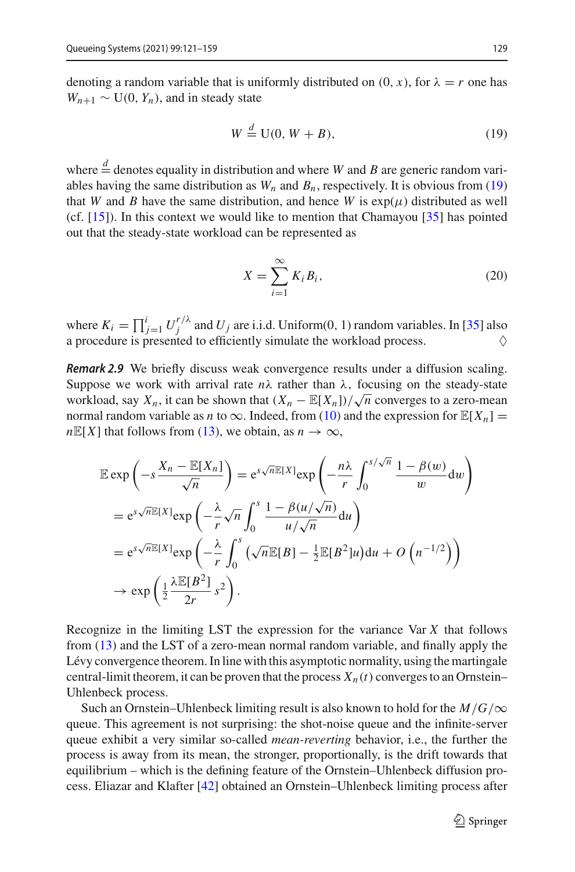denoting a random variable that is uniformly distributed on  $(0, x)$ , for  $\lambda = r$  one has  $W_{n+1} \sim U(0, Y_n)$ , and in steady state

<span id="page-9-0"></span>
$$
W \stackrel{d}{=} U(0, W + B), \tag{19}
$$

where  $\frac{d}{dx}$  denotes equality in distribution and where *W* and *B* are generic random variables having the same distribution as  $W_n$  and  $B_n$ , respectively. It is obvious from [\(19\)](#page-9-0) that *W* and *B* have the same distribution, and hence *W* is  $exp(\mu)$  distributed as well (cf. [\[15](#page-36-1)]). In this context we would like to mention that Chamayou [\[35\]](#page-37-12) has pointed out that the steady-state workload can be represented as

<span id="page-9-1"></span>
$$
X = \sum_{i=1}^{\infty} K_i B_i,
$$
 (20)

where  $K_i = \prod_{j=1}^i U_j^{r/\lambda}$  and  $U_j$  are i.i.d. Uniform(0, 1) random variables. In [\[35\]](#page-37-12) also a procedure is presented to efficiently simulate the workload process.  $\Diamond$ 

*Remark 2.9* We briefly discuss weak convergence results under a diffusion scaling. Suppose we work with arrival rate  $n\lambda$  rather than  $\lambda$ , focusing on the steady-state workload, say  $X_n$ , it can be shown that  $(X_n - \mathbb{E}[X_n]) / \sqrt{n}$  converges to a zero-mean normal random variable as *n* to  $\infty$ . Indeed, from [\(10\)](#page-7-0) and the expression for  $\mathbb{E}[X_n] =$  $nE[X]$  that follows from [\(13\)](#page-7-3), we obtain, as  $n \to \infty$ ,

$$
\mathbb{E} \exp\left(-s\frac{X_n - \mathbb{E}[X_n]}{\sqrt{n}}\right) = e^{s\sqrt{n}\mathbb{E}[X]} \exp\left(-\frac{n\lambda}{r} \int_0^{s/\sqrt{n}} \frac{1 - \beta(w)}{w} dw\right)
$$

$$
= e^{s\sqrt{n}\mathbb{E}[X]} \exp\left(-\frac{\lambda}{r} \sqrt{n} \int_0^s \frac{1 - \beta(u/\sqrt{n})}{u/\sqrt{n}} du\right)
$$

$$
= e^{s\sqrt{n}\mathbb{E}[X]} \exp\left(-\frac{\lambda}{r} \int_0^s (\sqrt{n}\mathbb{E}[B] - \frac{1}{2}\mathbb{E}[B^2]u) du + O\left(n^{-1/2}\right)\right)
$$

$$
\to \exp\left(\frac{1}{2}\frac{\lambda \mathbb{E}[B^2]}{2r} s^2\right).
$$

Recognize in the limiting LST the expression for the variance Var *X* that follows from [\(13\)](#page-7-3) and the LST of a zero-mean normal random variable, and finally apply the Lévy convergence theorem. In line with this asymptotic normality, using the martingale central-limit theorem, it can be proven that the process  $X_n(t)$  converges to an Ornstein– Uhlenbeck process.

Such an Ornstein–Uhlenbeck limiting result is also known to hold for the  $M/G/\infty$ queue. This agreement is not surprising: the shot-noise queue and the infinite-server queue exhibit a very similar so-called *mean-reverting* behavior, i.e., the further the process is away from its mean, the stronger, proportionally, is the drift towards that equilibrium – which is the defining feature of the Ornstein–Uhlenbeck diffusion process. Eliazar and Klafter [\[42\]](#page-37-13) obtained an Ornstein–Uhlenbeck limiting process after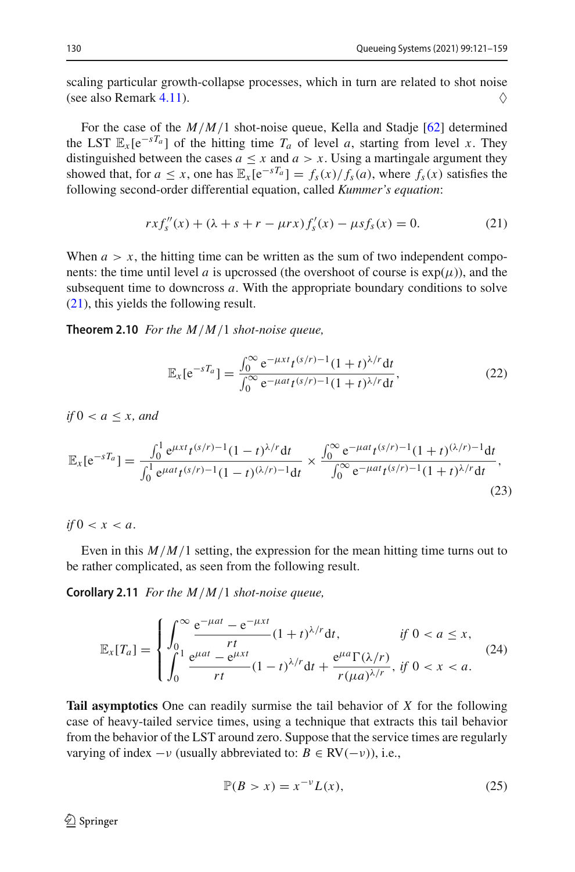scaling particular growth-collapse processes, which in turn are related to shot noise (see also Remark [4.11\)](#page-29-0).  $\diamondsuit$ 

For the case of the *M*/*M*/1 shot-noise queue, Kella and Stadje [\[62\]](#page-38-11) determined the LST  $\mathbb{E}_x[e^{-sT_a}]$  of the hitting time  $T_a$  of level *a*, starting from level *x*. They distinguished between the cases  $a \leq x$  and  $a > x$ . Using a martingale argument they showed that, for  $a \le x$ , one has  $\mathbb{E}_x[e^{-sT_a}] = f_s(x)/f_s(a)$ , where  $f_s(x)$  satisfies the following second-order differential equation, called *Kummer's equation*:

<span id="page-10-0"></span>
$$
rxf''_s(x) + (\lambda + s + r - \mu rx)f'_s(x) - \mu sf_s(x) = 0.
$$
 (21)

When  $a > x$ , the hitting time can be written as the sum of two independent components: the time until level *a* is upcrossed (the overshoot of course is  $exp(\mu)$ ), and the subsequent time to downcross *a*. With the appropriate boundary conditions to solve [\(21\)](#page-10-0), this yields the following result.

**Theorem 2.10** *For the M*/*M*/1 *shot-noise queue,*

$$
\mathbb{E}_x[e^{-sT_a}] = \frac{\int_0^\infty e^{-\mu xt} t^{(s/r)-1} (1+t)^{\lambda/r} dt}{\int_0^\infty e^{-\mu at} t^{(s/r)-1} (1+t)^{\lambda/r} dt},\tag{22}
$$

*if* 0 < *a* ≤ *x, and*

$$
\mathbb{E}_x[e^{-sT_a}] = \frac{\int_0^1 e^{\mu xt} t^{(s/r)-1} (1-t)^{\lambda/r} dt}{\int_0^1 e^{\mu at} t^{(s/r)-1} (1-t)^{(\lambda/r)-1} dt} \times \frac{\int_0^\infty e^{-\mu at} t^{(s/r)-1} (1+t)^{(\lambda/r)-1} dt}{\int_0^\infty e^{-\mu at} t^{(s/r)-1} (1+t)^{\lambda/r} dt},\tag{23}
$$

*if*  $0 < x < a$ .

Even in this  $M/M/1$  setting, the expression for the mean hitting time turns out to be rather complicated, as seen from the following result.

**Corollary 2.11** *For the M*/*M*/1 *shot-noise queue,*

$$
\mathbb{E}_x[T_a] = \begin{cases} \int_0^\infty \frac{e^{-\mu a t} - e^{-\mu x t}}{rt} (1+t)^{\lambda/r} dt, & \text{if } 0 < a \le x, \\ \int_0^1 \frac{e^{\mu a t} - e^{\mu x t}}{rt} (1-t)^{\lambda/r} dt + \frac{e^{\mu a} \Gamma(\lambda/r)}{r(\mu a)^{\lambda/r}}, & \text{if } 0 < x < a. \end{cases}
$$
(24)

**Tail asymptotics** One can readily surmise the tail behavior of *X* for the following case of heavy-tailed service times, using a technique that extracts this tail behavior from the behavior of the LST around zero. Suppose that the service times are regularly varying of index  $-v$  (usually abbreviated to:  $B \in \text{RV}(-v)$ ), i.e.,

<span id="page-10-1"></span>
$$
\mathbb{P}(B > x) = x^{-\nu} L(x),\tag{25}
$$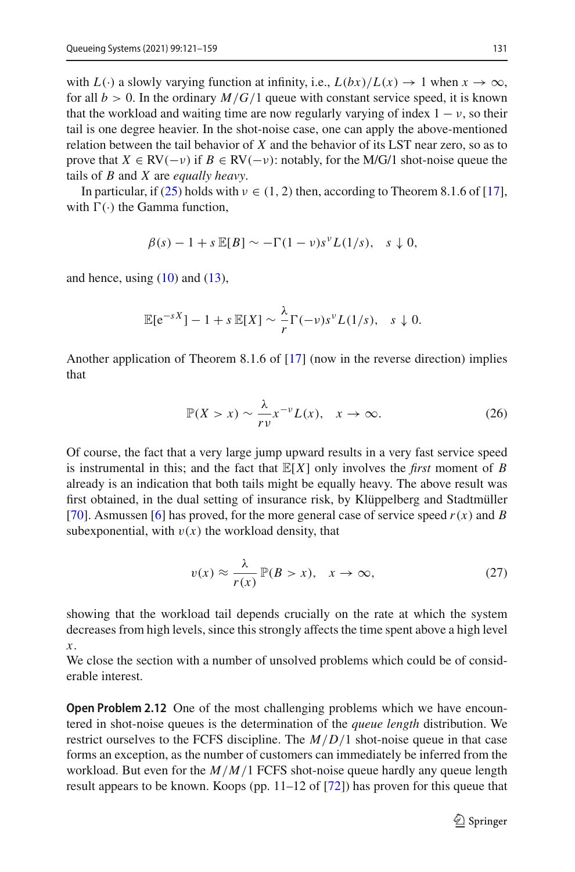with  $L(\cdot)$  a slowly varying function at infinity, i.e.,  $L(bx)/L(x) \to 1$  when  $x \to \infty$ , for all  $b > 0$ . In the ordinary  $M/G/1$  queue with constant service speed, it is known that the workload and waiting time are now regularly varying of index  $1 - v$ , so their tail is one degree heavier. In the shot-noise case, one can apply the above-mentioned relation between the tail behavior of *X* and the behavior of its LST near zero, so as to prove that  $X \in \text{RV}(-\nu)$  if  $B \in \text{RV}(-\nu)$ : notably, for the M/G/1 shot-noise queue the tails of *B* and *X* are *equally heavy*.

In particular, if [\(25\)](#page-10-1) holds with  $v \in (1, 2)$  then, according to Theorem 8.1.6 of [\[17](#page-36-2)], with  $\Gamma(\cdot)$  the Gamma function,

$$
\beta(s) - 1 + s \mathbb{E}[B] \sim -\Gamma(1 - v)s^{\nu}L(1/s), \quad s \downarrow 0,
$$

and hence, using  $(10)$  and  $(13)$ ,

$$
\mathbb{E}[e^{-sX}] - 1 + s \mathbb{E}[X] \sim \frac{\lambda}{r} \Gamma(-\nu) s^{\nu} L(1/s), \quad s \downarrow 0.
$$

Another application of Theorem 8.1.6 of [\[17\]](#page-36-2) (now in the reverse direction) implies that

$$
\mathbb{P}(X > x) \sim \frac{\lambda}{r\nu} x^{-\nu} L(x), \quad x \to \infty.
$$
 (26)

Of course, the fact that a very large jump upward results in a very fast service speed is instrumental in this; and the fact that  $\mathbb{E}[X]$  only involves the *first* moment of *B* already is an indication that both tails might be equally heavy. The above result was first obtained, in the dual setting of insurance risk, by Klüppelberg and Stadtmüller [\[70](#page-38-12)]. Asmussen [\[6](#page-36-3)] has proved, for the more general case of service speed  $r(x)$  and *B* subexponential, with  $v(x)$  the workload density, that

$$
v(x) \approx \frac{\lambda}{r(x)} \mathbb{P}(B > x), \quad x \to \infty,
$$
 (27)

showing that the workload tail depends crucially on the rate at which the system decreases from high levels, since this strongly affects the time spent above a high level *x*.

We close the section with a number of unsolved problems which could be of considerable interest.

**Open Problem 2.12** One of the most challenging problems which we have encountered in shot-noise queues is the determination of the *queue length* distribution. We restrict ourselves to the FCFS discipline. The *M*/*D*/1 shot-noise queue in that case forms an exception, as the number of customers can immediately be inferred from the workload. But even for the *M*/*M*/1 FCFS shot-noise queue hardly any queue length result appears to be known. Koops (pp. 11–12 of [\[72\]](#page-38-10)) has proven for this queue that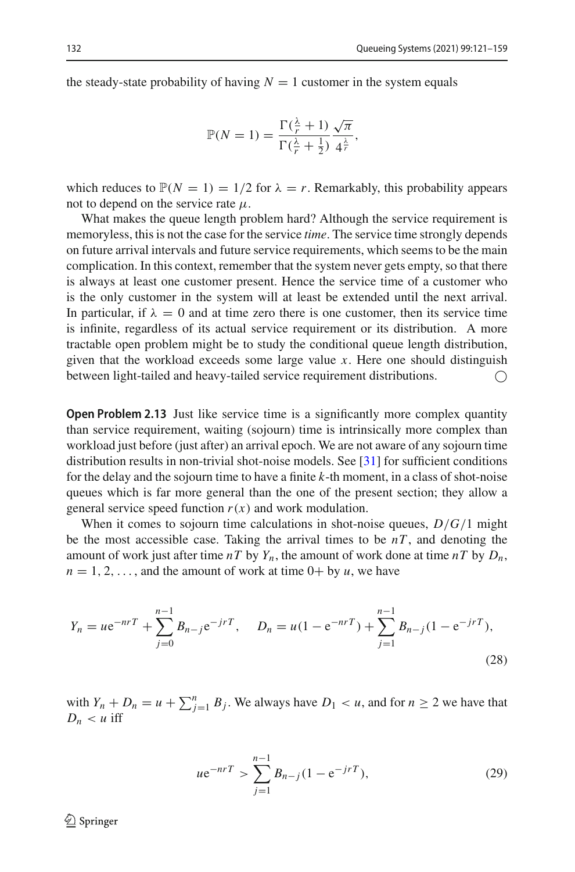the steady-state probability of having  $N = 1$  customer in the system equals

$$
\mathbb{P}(N=1) = \frac{\Gamma(\frac{\lambda}{r}+1)}{\Gamma(\frac{\lambda}{r}+\frac{1}{2})} \frac{\sqrt{\pi}}{4^{\frac{\lambda}{r}}},
$$

which reduces to  $\mathbb{P}(N = 1) = 1/2$  for  $\lambda = r$ . Remarkably, this probability appears not to depend on the service rate  $\mu$ .

What makes the queue length problem hard? Although the service requirement is memoryless, this is not the case for the service *time*. The service time strongly depends on future arrival intervals and future service requirements, which seems to be the main complication. In this context, remember that the system never gets empty, so that there is always at least one customer present. Hence the service time of a customer who is the only customer in the system will at least be extended until the next arrival. In particular, if  $\lambda = 0$  and at time zero there is one customer, then its service time is infinite, regardless of its actual service requirement or its distribution. A more tractable open problem might be to study the conditional queue length distribution, given that the workload exceeds some large value *x*. Here one should distinguish between light-tailed and heavy-tailed service requirement distributions.

**Open Problem 2.13** Just like service time is a significantly more complex quantity than service requirement, waiting (sojourn) time is intrinsically more complex than workload just before (just after) an arrival epoch. We are not aware of any sojourn time distribution results in non-trivial shot-noise models. See [\[31\]](#page-37-14) for sufficient conditions for the delay and the sojourn time to have a finite *k*-th moment, in a class of shot-noise queues which is far more general than the one of the present section; they allow a general service speed function  $r(x)$  and work modulation.

When it comes to sojourn time calculations in shot-noise queues, *D*/*G*/1 might be the most accessible case. Taking the arrival times to be  $nT$ , and denoting the amount of work just after time  $nT$  by  $Y_n$ , the amount of work done at time  $nT$  by  $D_n$ ,  $n = 1, 2, \ldots$ , and the amount of work at time  $0+$  by *u*, we have

$$
Y_n = u e^{-nrT} + \sum_{j=0}^{n-1} B_{n-j} e^{-jrT}, \quad D_n = u(1 - e^{-nrT}) + \sum_{j=1}^{n-1} B_{n-j}(1 - e^{-jrT}),
$$
\n(28)

with  $Y_n + D_n = u + \sum_{j=1}^n B_j$ . We always have  $D_1 < u$ , and for  $n \ge 2$  we have that  $D_n < u$  iff

$$
ue^{-nrT} > \sum_{j=1}^{n-1} B_{n-j}(1 - e^{-jrT}),
$$
 (29)

 $\textcircled{2}$  Springer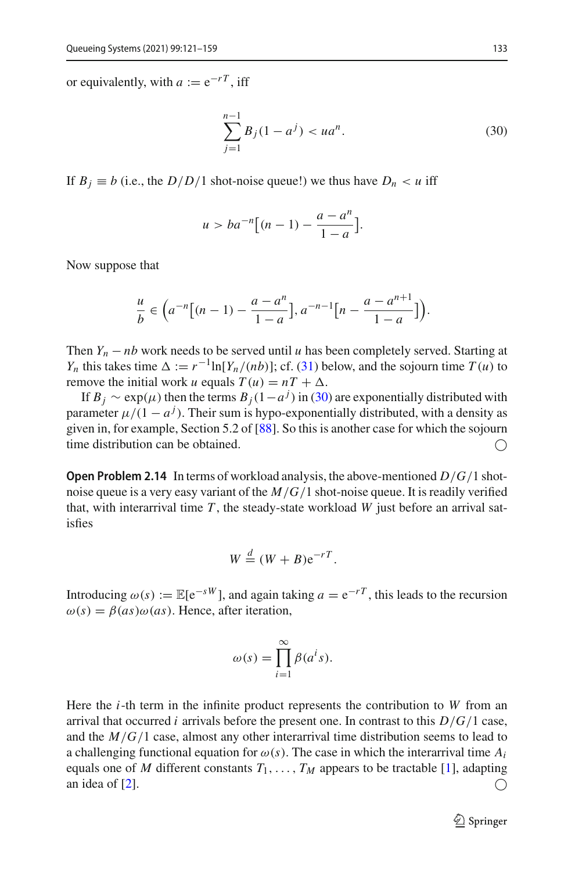or equivalently, with  $a := e^{-rT}$ , iff

<span id="page-13-0"></span>
$$
\sum_{j=1}^{n-1} B_j (1 - a^j) < ua^n. \tag{30}
$$

If  $B_i \equiv b$  (i.e., the *D*/*D*/1 shot-noise queue!) we thus have  $D_n < u$  iff

$$
u > ba^{-n} \big[ (n-1) - \frac{a-a^n}{1-a} \big].
$$

Now suppose that

$$
\frac{u}{b} \in \left(a^{-n}\big[(n-1) - \frac{a-a^n}{1-a}\big], a^{-n-1}\big[n - \frac{a-a^{n+1}}{1-a}\big]\right).
$$

Then  $Y_n - nb$  work needs to be served until *u* has been completely served. Starting at *Y<sub>n</sub>* this takes time  $\Delta := r^{-1} \ln[Y_n/(nb)]$ ; cf. [\(31\)](#page-14-1) below, and the sojourn time *T* (*u*) to remove the initial work *u* equals  $T(u) = nT + \Delta$ .

If  $B_j \sim \exp(\mu)$  then the terms  $B_j(1-a^j)$  in [\(30\)](#page-13-0) are exponentially distributed with parameter  $\mu/(1 - a^j)$ . Their sum is hypo-exponentially distributed, with a density as given in, for example, Section 5.2 of [\[88](#page-39-13)]. So this is another case for which the sojourn time distribution can be obtained.  $\bigcap$ 

**Open Problem 2.14** In terms of workload analysis, the above-mentioned *D*/*G*/1 shotnoise queue is a very easy variant of the *M*/*G*/1 shot-noise queue. It is readily verified that, with interarrival time  $T$ , the steady-state workload  $W$  just before an arrival satisfies

$$
W \stackrel{d}{=} (W + B)e^{-rT}.
$$

Introducing  $\omega(s) := \mathbb{E}[e^{-sW}]$ , and again taking  $a = e^{-rT}$ , this leads to the recursion  $\omega(s) = \beta(as)\omega(as)$ . Hence, after iteration,

$$
\omega(s) = \prod_{i=1}^{\infty} \beta(a^i s).
$$

Here the *i*-th term in the infinite product represents the contribution to *W* from an arrival that occurred *i* arrivals before the present one. In contrast to this  $D/G/1$  case, and the *M*/*G*/1 case, almost any other interarrival time distribution seems to lead to a challenging functional equation for  $\omega(s)$ . The case in which the interarrival time  $A_i$ equals one of *M* different constants  $T_1, \ldots, T_M$  appears to be tractable [\[1](#page-36-4)], adapting an idea of [\[2\]](#page-36-5).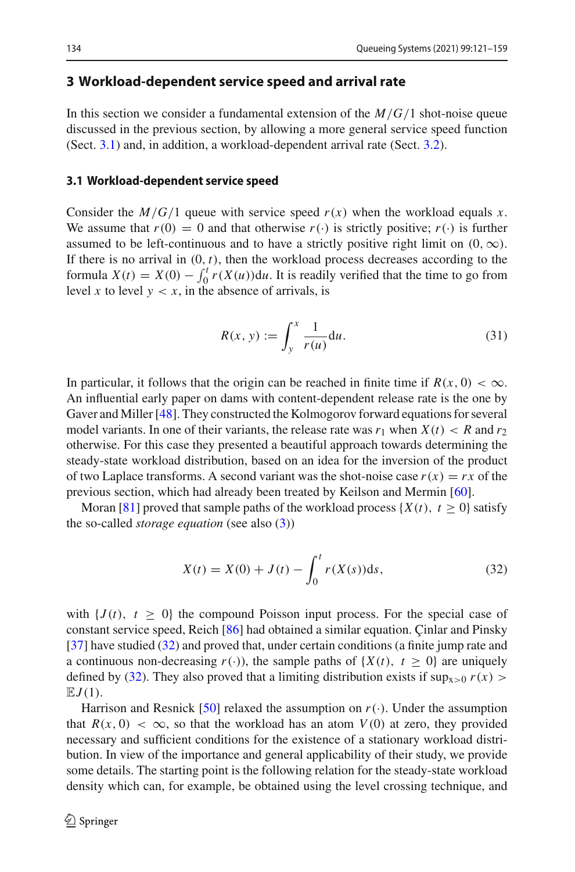#### <span id="page-14-0"></span>**3 Workload-dependent service speed and arrival rate**

In this section we consider a fundamental extension of the *M*/*G*/1 shot-noise queue discussed in the previous section, by allowing a more general service speed function (Sect. [3.1\)](#page-14-2) and, in addition, a workload-dependent arrival rate (Sect. [3.2\)](#page-17-0).

#### <span id="page-14-2"></span>**3.1 Workload-dependent service speed**

Consider the  $M/G/1$  queue with service speed  $r(x)$  when the workload equals *x*. We assume that  $r(0) = 0$  and that otherwise  $r(\cdot)$  is strictly positive;  $r(\cdot)$  is further assumed to be left-continuous and to have a strictly positive right limit on  $(0, \infty)$ . If there is no arrival in  $(0, t)$ , then the workload process decreases according to the formula  $X(t) = X(0) - \int_0^t r(X(u))du$ . It is readily verified that the time to go from level *x* to level  $y < x$ , in the absence of arrivals, is

<span id="page-14-1"></span>
$$
R(x, y) := \int_{y}^{x} \frac{1}{r(u)} \mathrm{d}u. \tag{31}
$$

In particular, it follows that the origin can be reached in finite time if  $R(x, 0) < \infty$ . An influential early paper on dams with content-dependent release rate is the one by Gaver and Miller [\[48\]](#page-37-4). They constructed the Kolmogorov forward equations for several model variants. In one of their variants, the release rate was  $r_1$  when  $X(t) < R$  and  $r_2$ otherwise. For this case they presented a beautiful approach towards determining the steady-state workload distribution, based on an idea for the inversion of the product of two Laplace transforms. A second variant was the shot-noise case  $r(x) = rx$  of the previous section, which had already been treated by Keilson and Mermin [\[60](#page-38-0)].

Moran [\[81\]](#page-39-14) proved that sample paths of the workload process  $\{X(t), t \geq 0\}$  satisfy the so-called *storage equation* (see also [\(3\)](#page-4-2))

<span id="page-14-3"></span>
$$
X(t) = X(0) + J(t) - \int_0^t r(X(s))ds,
$$
\n(32)

with  ${J(t), t \geq 0}$  the compound Poisson input process. For the special case of constant service speed, Reich [\[86\]](#page-39-15) had obtained a similar equation. Çinlar and Pinsky [\[37](#page-37-9)] have studied [\(32\)](#page-14-3) and proved that, under certain conditions (a finite jump rate and a continuous non-decreasing  $r(\cdot)$ ), the sample paths of  $\{X(t), t \geq 0\}$  are uniquely defined by [\(32\)](#page-14-3). They also proved that a limiting distribution exists if  $\sup_{x>0} r(x)$  $EJ(1)$ .

Harrison and Resnick [\[50](#page-38-13)] relaxed the assumption on  $r(\cdot)$ . Under the assumption that  $R(x, 0) < \infty$ , so that the workload has an atom  $V(0)$  at zero, they provided necessary and sufficient conditions for the existence of a stationary workload distribution. In view of the importance and general applicability of their study, we provide some details. The starting point is the following relation for the steady-state workload density which can, for example, be obtained using the level crossing technique, and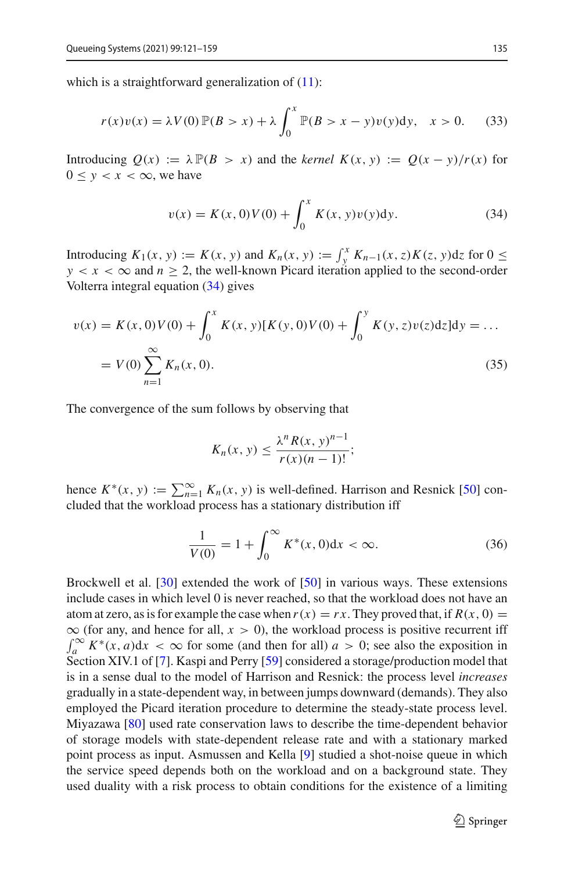which is a straightforward generalization of  $(11)$ :

<span id="page-15-2"></span>
$$
r(x)v(x) = \lambda V(0) \mathbb{P}(B > x) + \lambda \int_0^x \mathbb{P}(B > x - y)v(y)dy, \quad x > 0.
$$
 (33)

Introducing  $Q(x) := \lambda P(B > x)$  and the *kernel*  $K(x, y) := Q(x - y)/r(x)$  for  $0 \leq y < x < \infty$ , we have

<span id="page-15-0"></span>
$$
v(x) = K(x, 0)V(0) + \int_0^x K(x, y)v(y)dy.
$$
 (34)

Introducing *K*<sub>1</sub>(*x*, *y*) := *K*(*x*, *y*) and *K<sub>n</sub>*(*x*, *y*) :=  $\int_{y}^{x} K_{n-1}(x, z) K(z, y) dz$  for 0 ≤  $y < x < \infty$  and  $n \ge 2$ , the well-known Picard iteration applied to the second-order Volterra integral equation [\(34\)](#page-15-0) gives

<span id="page-15-1"></span>
$$
v(x) = K(x, 0)V(0) + \int_0^x K(x, y)[K(y, 0)V(0) + \int_0^y K(y, z)v(z)dz]dy = \dots
$$
  
=  $V(0) \sum_{n=1}^{\infty} K_n(x, 0).$  (35)

The convergence of the sum follows by observing that

$$
K_n(x, y) \leq \frac{\lambda^n R(x, y)^{n-1}}{r(x)(n-1)!};
$$

hence  $K^*(x, y) := \sum_{n=1}^{\infty} K_n(x, y)$  is well-defined. Harrison and Resnick [\[50](#page-38-13)] concluded that the workload process has a stationary distribution iff

<span id="page-15-3"></span>
$$
\frac{1}{V(0)} = 1 + \int_0^\infty K^*(x, 0) dx < \infty. \tag{36}
$$

Brockwell et al. [\[30](#page-37-15)] extended the work of [\[50\]](#page-38-13) in various ways. These extensions include cases in which level 0 is never reached, so that the workload does not have an atom at zero, as is for example the case when  $r(x) = rx$ . They proved that, if  $R(x, 0) =$  $\infty$  (for any, and hence for all,  $x > 0$ ), the workload process is positive recurrent iff  $\int_{a}^{\infty} K^{*}(x, a) dx < \infty$  for some (and then for all)  $a > 0$ ; see also the exposition in Section XIV.1 of [\[7\]](#page-36-6). Kaspi and Perry [\[59\]](#page-38-14) considered a storage/production model that is in a sense dual to the model of Harrison and Resnick: the process level *increases* gradually in a state-dependent way, in between jumps downward (demands). They also employed the Picard iteration procedure to determine the steady-state process level. Miyazawa [\[80](#page-39-16)] used rate conservation laws to describe the time-dependent behavior of storage models with state-dependent release rate and with a stationary marked point process as input. Asmussen and Kella [\[9](#page-36-7)] studied a shot-noise queue in which the service speed depends both on the workload and on a background state. They used duality with a risk process to obtain conditions for the existence of a limiting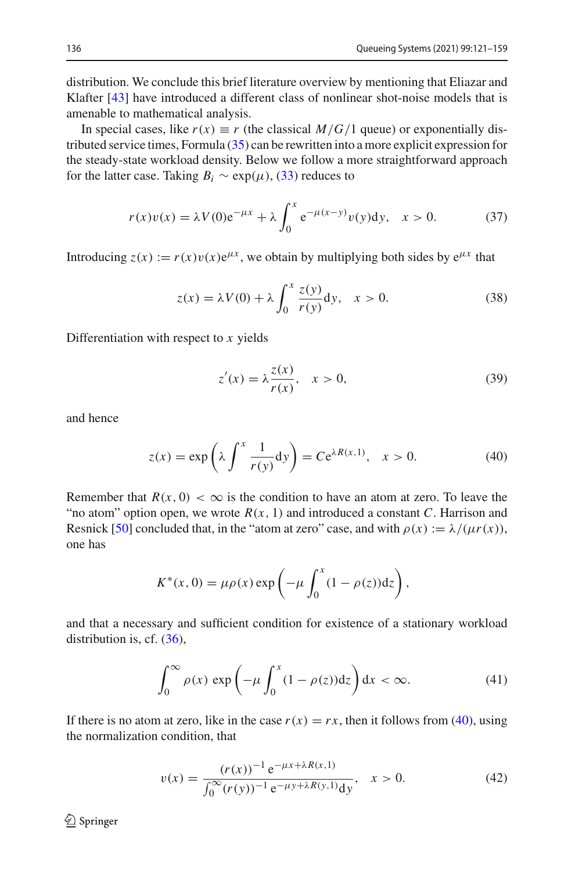distribution. We conclude this brief literature overview by mentioning that Eliazar and Klafter [\[43](#page-37-16)] have introduced a different class of nonlinear shot-noise models that is amenable to mathematical analysis.

In special cases, like  $r(x) \equiv r$  (the classical  $M/G/1$  queue) or exponentially distributed service times, Formula [\(35\)](#page-15-1) can be rewritten into a more explicit expression for the steady-state workload density. Below we follow a more straightforward approach for the latter case. Taking  $B_i \sim \exp(\mu)$ , [\(33\)](#page-15-2) reduces to

$$
r(x)v(x) = \lambda V(0)e^{-\mu x} + \lambda \int_0^x e^{-\mu(x-y)}v(y)dy, \quad x > 0.
$$
 (37)

Introducing  $z(x) := r(x)v(x)e^{\mu x}$ , we obtain by multiplying both sides by  $e^{\mu x}$  that

$$
z(x) = \lambda V(0) + \lambda \int_0^x \frac{z(y)}{r(y)} dy, \quad x > 0.
$$
 (38)

Differentiation with respect to *x* yields

$$
z'(x) = \lambda \frac{z(x)}{r(x)}, \quad x > 0,
$$
\n(39)

and hence

<span id="page-16-0"></span>
$$
z(x) = \exp\left(\lambda \int^x \frac{1}{r(y)} dy\right) = C e^{\lambda R(x,1)}, \quad x > 0.
$$
 (40)

Remember that  $R(x, 0) < \infty$  is the condition to have an atom at zero. To leave the "no atom" option open, we wrote  $R(x, 1)$  and introduced a constant C. Harrison and Resnick [\[50](#page-38-13)] concluded that, in the "atom at zero" case, and with  $\rho(x) := \lambda / (\mu r(x))$ , one has

$$
K^*(x, 0) = \mu \rho(x) \exp\left(-\mu \int_0^x (1 - \rho(z)) dz\right),
$$

and that a necessary and sufficient condition for existence of a stationary workload distribution is, cf.  $(36)$ ,

$$
\int_0^\infty \rho(x) \exp\left(-\mu \int_0^x (1 - \rho(z)) \mathrm{d}z\right) \mathrm{d}x < \infty. \tag{41}
$$

If there is no atom at zero, like in the case  $r(x) = rx$ , then it follows from [\(40\)](#page-16-0), using the normalization condition, that

<span id="page-16-1"></span>
$$
v(x) = \frac{(r(x))^{-1} e^{-\mu x + \lambda R(x, 1)}}{\int_0^\infty (r(y))^{-1} e^{-\mu y + \lambda R(y, 1)} dy}, \quad x > 0.
$$
 (42)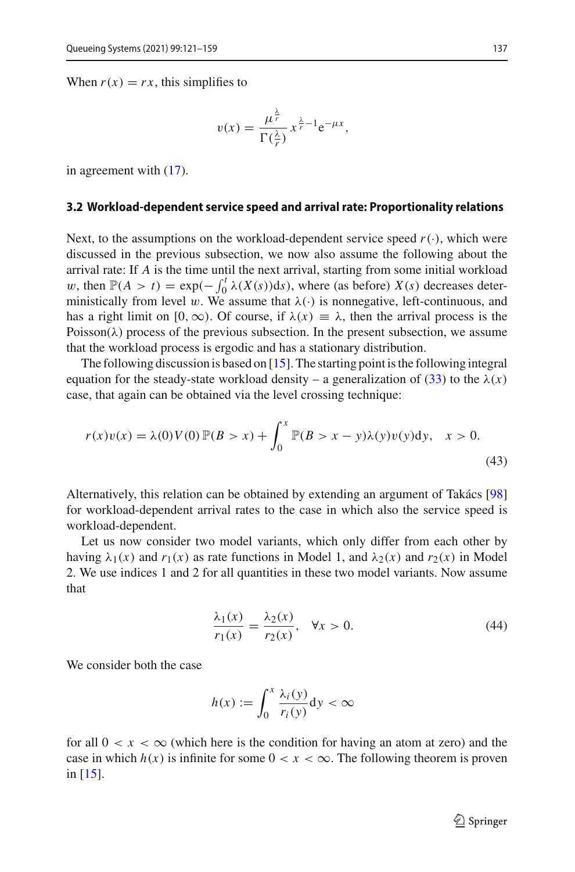When  $r(x) = rx$ , this simplifies to

$$
v(x) = \frac{\mu^{\frac{\lambda}{r}}}{\Gamma(\frac{\lambda}{r})} x^{\frac{\lambda}{r}-1} e^{-\mu x},
$$

in agreement with [\(17\)](#page-8-1).

#### <span id="page-17-0"></span>**3.2 Workload-dependent service speed and arrival rate: Proportionality relations**

Next, to the assumptions on the workload-dependent service speed  $r(\cdot)$ , which were discussed in the previous subsection, we now also assume the following about the arrival rate: If *A* is the time until the next arrival, starting from some initial workload w, then  $\mathbb{P}(A > t) = \exp(-\int_0^t \lambda(X(s))ds)$ , where (as before) *X*(*s*) decreases deterministically from level w. We assume that  $\lambda(\cdot)$  is nonnegative, left-continuous, and has a right limit on [0,  $\infty$ ). Of course, if  $\lambda(x) \equiv \lambda$ , then the arrival process is the Poisson( $\lambda$ ) process of the previous subsection. In the present subsection, we assume that the workload process is ergodic and has a stationary distribution.

The following discussion is based on  $[15]$ . The starting point is the following integral equation for the steady-state workload density – a generalization of [\(33\)](#page-15-2) to the  $\lambda(x)$ case, that again can be obtained via the level crossing technique:

<span id="page-17-2"></span>
$$
r(x)v(x) = \lambda(0)V(0)\mathbb{P}(B > x) + \int_0^x \mathbb{P}(B > x - y)\lambda(y)v(y)dy, \quad x > 0.
$$
\n(43)

Alternatively, this relation can be obtained by extending an argument of Takács [\[98\]](#page-39-17) for workload-dependent arrival rates to the case in which also the service speed is workload-dependent.

Let us now consider two model variants, which only differ from each other by having  $\lambda_1(x)$  and  $r_1(x)$  as rate functions in Model 1, and  $\lambda_2(x)$  and  $r_2(x)$  in Model 2. We use indices 1 and 2 for all quantities in these two model variants. Now assume that

<span id="page-17-1"></span>
$$
\frac{\lambda_1(x)}{r_1(x)} = \frac{\lambda_2(x)}{r_2(x)}, \quad \forall x > 0.
$$
\n(44)

We consider both the case

$$
h(x) := \int_0^x \frac{\lambda_i(y)}{r_i(y)} dy < \infty
$$

<span id="page-17-3"></span>for all  $0 < x < \infty$  (which here is the condition for having an atom at zero) and the case in which  $h(x)$  is infinite for some  $0 < x < \infty$ . The following theorem is proven in [\[15](#page-36-1)].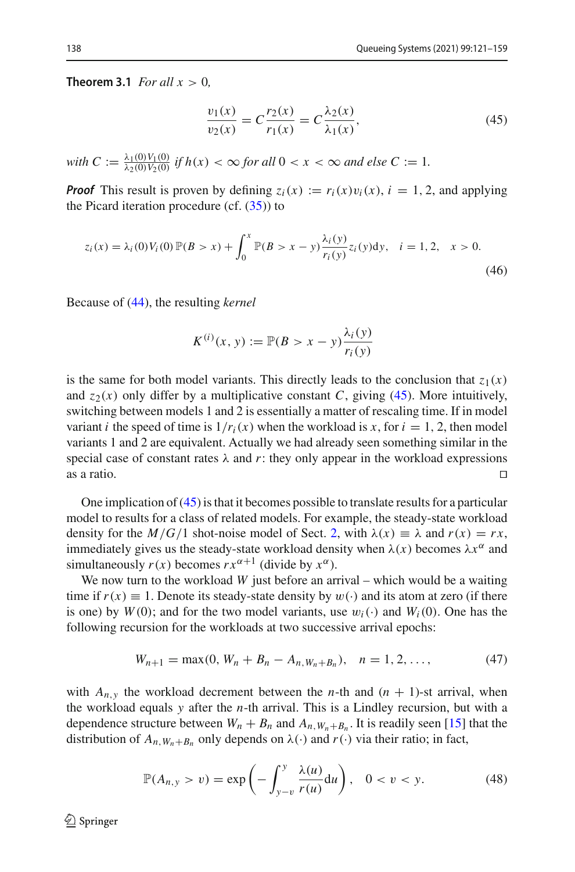**Theorem 3.1** *For all*  $x > 0$ *,* 

<span id="page-18-0"></span>
$$
\frac{v_1(x)}{v_2(x)} = C \frac{r_2(x)}{r_1(x)} = C \frac{\lambda_2(x)}{\lambda_1(x)},
$$
\n(45)

*with*  $C := \frac{\lambda_1(0)V_1(0)}{\lambda_2(0)V_2(0)}$  *if*  $h(x) < \infty$  *for all*  $0 < x < \infty$  *and else*  $C := 1$ *.* 

*Proof* This result is proven by defining  $z_i(x) := r_i(x)v_i(x)$ ,  $i = 1, 2$ , and applying the Picard iteration procedure (cf.  $(35)$ ) to

<span id="page-18-1"></span>
$$
z_i(x) = \lambda_i(0) V_i(0) \mathbb{P}(B > x) + \int_0^x \mathbb{P}(B > x - y) \frac{\lambda_i(y)}{r_i(y)} z_i(y) dy, \quad i = 1, 2, \quad x > 0.
$$
\n(46)

Because of [\(44\)](#page-17-1), the resulting *kernel*

$$
K^{(i)}(x, y) := \mathbb{P}(B > x - y) \frac{\lambda_i(y)}{r_i(y)}
$$

is the same for both model variants. This directly leads to the conclusion that  $z_1(x)$ and  $z_2(x)$  only differ by a multiplicative constant *C*, giving [\(45\)](#page-18-0). More intuitively, switching between models 1 and 2 is essentially a matter of rescaling time. If in model variant *i* the speed of time is  $1/r_i(x)$  when the workload is *x*, for  $i = 1, 2$ , then model variants 1 and 2 are equivalent. Actually we had already seen something similar in the special case of constant rates  $\lambda$  and  $r$ : they only appear in the workload expressions as a ratio.  $\square$ 

One implication of [\(45\)](#page-18-0) is that it becomes possible to translate results for a particular model to results for a class of related models. For example, the steady-state workload density for the  $M/G/1$  shot-noise model of Sect. [2,](#page-3-0) with  $\lambda(x) \equiv \lambda$  and  $r(x) = rx$ , immediately gives us the steady-state workload density when  $\lambda(x)$  becomes  $\lambda x^{\alpha}$  and simultaneously  $r(x)$  becomes  $rx^{\alpha+1}$  (divide by  $x^{\alpha}$ ).

We now turn to the workload *W* just before an arrival – which would be a waiting time if  $r(x) \equiv 1$ . Denote its steady-state density by  $w(\cdot)$  and its atom at zero (if there is one) by  $W(0)$ ; and for the two model variants, use  $w_i(\cdot)$  and  $W_i(0)$ . One has the following recursion for the workloads at two successive arrival epochs:

$$
W_{n+1} = \max(0, W_n + B_n - A_{n, W_n + B_n}), \quad n = 1, 2, ..., \tag{47}
$$

with  $A_{n,y}$  the workload decrement between the *n*-th and  $(n + 1)$ -st arrival, when the workload equals *y* after the *n*-th arrival. This is a Lindley recursion, but with a dependence structure between  $W_n + B_n$  and  $A_{n, W_n + B_n}$ . It is readily seen [\[15\]](#page-36-1) that the distribution of  $A_{n,M_n+B_n}$  only depends on  $\lambda(\cdot)$  and  $r(\cdot)$  via their ratio; in fact,

$$
\mathbb{P}(A_{n,y} > v) = \exp\left(-\int_{y-v}^{y} \frac{\lambda(u)}{r(u)} \mathrm{d}u\right), \quad 0 < v < y. \tag{48}
$$

 $\textcircled{2}$  Springer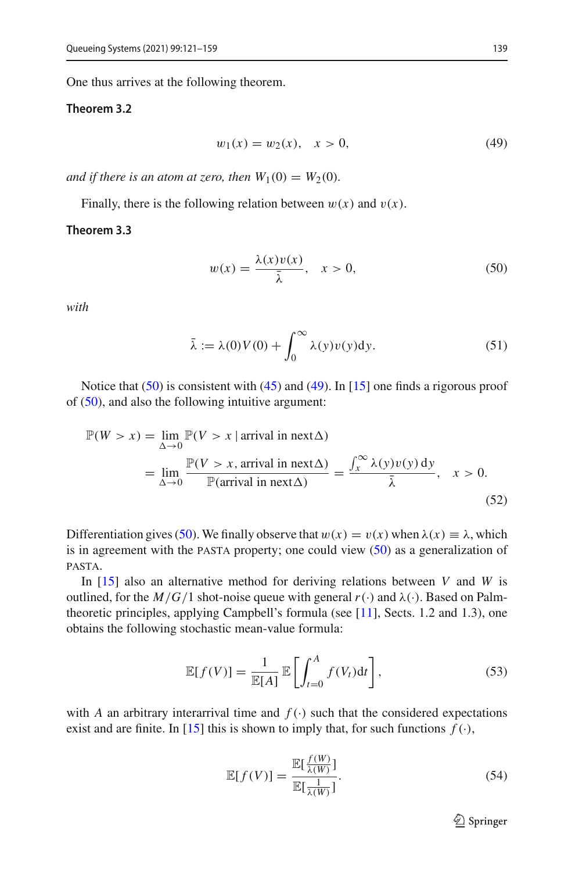One thus arrives at the following theorem.

#### **Theorem 3.2**

<span id="page-19-2"></span><span id="page-19-1"></span>
$$
w_1(x) = w_2(x), \quad x > 0,
$$
\n(49)

*and if there is an atom at zero, then*  $W_1(0) = W_2(0)$ *.* 

Finally, there is the following relation between  $w(x)$  and  $v(x)$ .

#### **Theorem 3.3**

<span id="page-19-0"></span>
$$
w(x) = \frac{\lambda(x)v(x)}{\bar{\lambda}}, \quad x > 0,
$$
\n(50)

*with*

$$
\bar{\lambda} := \lambda(0)V(0) + \int_0^\infty \lambda(y)v(y)dy.
$$
 (51)

Notice that  $(50)$  is consistent with  $(45)$  and  $(49)$ . In [\[15\]](#page-36-1) one finds a rigorous proof of [\(50\)](#page-19-0), and also the following intuitive argument:

$$
\mathbb{P}(W > x) = \lim_{\Delta \to 0} \mathbb{P}(V > x \mid \text{arrival in next } \Delta)
$$
  
= 
$$
\lim_{\Delta \to 0} \frac{\mathbb{P}(V > x, \text{ arrival in next } \Delta)}{\mathbb{P}(\text{arrival in next } \Delta)} = \frac{\int_x^{\infty} \lambda(y)v(y) \, dy}{\bar{\lambda}}, \quad x > 0.
$$
 (52)

Differentiation gives [\(50\)](#page-19-0). We finally observe that  $w(x) = v(x)$  when  $\lambda(x) \equiv \lambda$ , which is in agreement with the pasta property; one could view [\(50\)](#page-19-0) as a generalization of pasta.

In [\[15\]](#page-36-1) also an alternative method for deriving relations between *V* and *W* is outlined, for the  $M/G/1$  shot-noise queue with general  $r(\cdot)$  and  $\lambda(\cdot)$ . Based on Palmtheoretic principles, applying Campbell's formula (see [\[11](#page-36-8)], Sects. 1.2 and 1.3), one obtains the following stochastic mean-value formula:

$$
\mathbb{E}[f(V)] = \frac{1}{\mathbb{E}[A]} \mathbb{E}\left[\int_{t=0}^{A} f(V_t)dt\right],\tag{53}
$$

with *A* an arbitrary interarrival time and  $f(.)$  such that the considered expectations exist and are finite. In [\[15\]](#page-36-1) this is shown to imply that, for such functions  $f(\cdot)$ ,

$$
\mathbb{E}[f(V)] = \frac{\mathbb{E}[\frac{f(W)}{\lambda(W)}]}{\mathbb{E}[\frac{1}{\lambda(W)}]}.
$$
\n(54)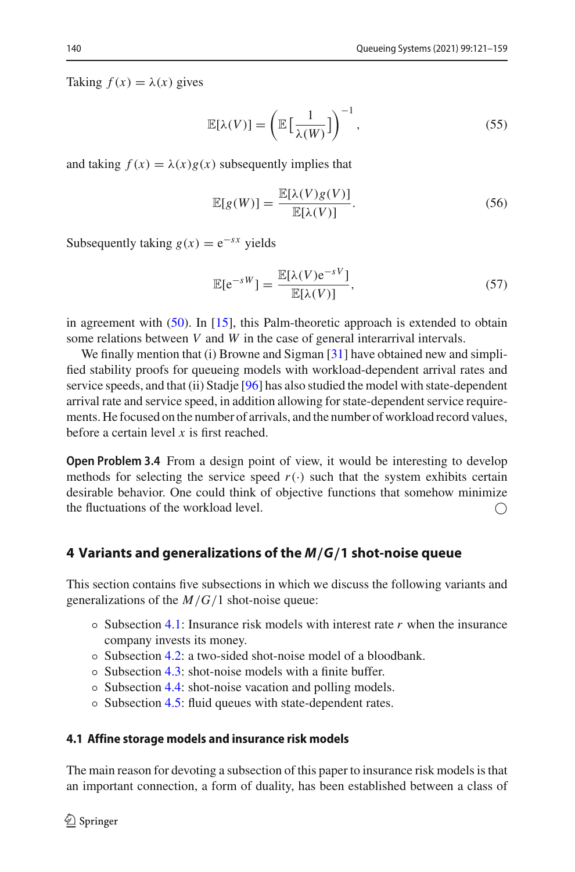Taking  $f(x) = \lambda(x)$  gives

$$
\mathbb{E}[\lambda(V)] = \left(\mathbb{E}\left[\frac{1}{\lambda(W)}\right]\right)^{-1},\tag{55}
$$

and taking  $f(x) = \lambda(x)g(x)$  subsequently implies that

$$
\mathbb{E}[g(W)] = \frac{\mathbb{E}[\lambda(V)g(V)]}{\mathbb{E}[\lambda(V)]}.
$$
\n(56)

Subsequently taking  $g(x) = e^{-sx}$  yields

$$
\mathbb{E}[e^{-sW}] = \frac{\mathbb{E}[\lambda(V)e^{-sV}]}{\mathbb{E}[\lambda(V)]},\tag{57}
$$

in agreement with  $(50)$ . In [\[15\]](#page-36-1), this Palm-theoretic approach is extended to obtain some relations between *V* and *W* in the case of general interarrival intervals.

We finally mention that (i) Browne and Sigman [\[31\]](#page-37-14) have obtained new and simplified stability proofs for queueing models with workload-dependent arrival rates and service speeds, and that (ii) Stadje [\[96\]](#page-39-18) has also studied the model with state-dependent arrival rate and service speed, in addition allowing for state-dependent service requirements. He focused on the number of arrivals, and the number of workload record values, before a certain level *x* is first reached.

**Open Problem 3.4** From a design point of view, it would be interesting to develop methods for selecting the service speed  $r(\cdot)$  such that the system exhibits certain desirable behavior. One could think of objective functions that somehow minimize the fluctuations of the workload level.  $\bigcap$ 

#### <span id="page-20-0"></span>**4 Variants and generalizations of the** *M/G/***1 shot-noise queue**

This section contains five subsections in which we discuss the following variants and generalizations of the *M*/*G*/1 shot-noise queue:

- Subsection [4.1:](#page-20-1) Insurance risk models with interest rate *r* when the insurance company invests its money.
- Subsection [4.2:](#page-22-0) a two-sided shot-noise model of a bloodbank.
- Subsection [4.3:](#page-23-0) shot-noise models with a finite buffer.
- Subsection [4.4:](#page-25-0) shot-noise vacation and polling models.
- Subsection [4.5:](#page-28-0) fluid queues with state-dependent rates.

#### <span id="page-20-1"></span>**4.1 Affine storage models and insurance risk models**

The main reason for devoting a subsection of this paper to insurance risk models is that an important connection, a form of duality, has been established between a class of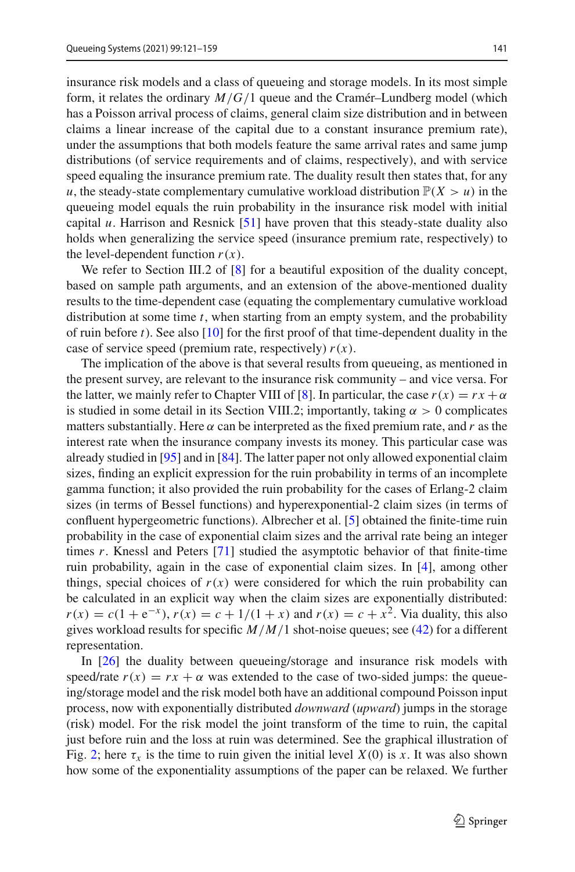insurance risk models and a class of queueing and storage models. In its most simple form, it relates the ordinary *M*/*G*/1 queue and the Cramér–Lundberg model (which has a Poisson arrival process of claims, general claim size distribution and in between claims a linear increase of the capital due to a constant insurance premium rate), under the assumptions that both models feature the same arrival rates and same jump distributions (of service requirements and of claims, respectively), and with service speed equaling the insurance premium rate. The duality result then states that, for any *u*, the steady-state complementary cumulative workload distribution  $\mathbb{P}(X > u)$  in the queueing model equals the ruin probability in the insurance risk model with initial capital *u*. Harrison and Resnick [\[51](#page-38-15)] have proven that this steady-state duality also holds when generalizing the service speed (insurance premium rate, respectively) to the level-dependent function  $r(x)$ .

We refer to Section III.2 of [\[8\]](#page-36-9) for a beautiful exposition of the duality concept, based on sample path arguments, and an extension of the above-mentioned duality results to the time-dependent case (equating the complementary cumulative workload distribution at some time *t*, when starting from an empty system, and the probability of ruin before  $t$ ). See also  $[10]$  for the first proof of that time-dependent duality in the case of service speed (premium rate, respectively)  $r(x)$ .

The implication of the above is that several results from queueing, as mentioned in the present survey, are relevant to the insurance risk community – and vice versa. For the latter, we mainly refer to Chapter VIII of [\[8\]](#page-36-9). In particular, the case  $r(x) = rx + \alpha$ is studied in some detail in its Section VIII.2; importantly, taking  $\alpha > 0$  complicates matters substantially. Here  $\alpha$  can be interpreted as the fixed premium rate, and r as the interest rate when the insurance company invests its money. This particular case was already studied in [\[95](#page-39-19)] and in [\[84](#page-39-20)]. The latter paper not only allowed exponential claim sizes, finding an explicit expression for the ruin probability in terms of an incomplete gamma function; it also provided the ruin probability for the cases of Erlang-2 claim sizes (in terms of Bessel functions) and hyperexponential-2 claim sizes (in terms of confluent hypergeometric functions). Albrecher et al. [\[5\]](#page-36-11) obtained the finite-time ruin probability in the case of exponential claim sizes and the arrival rate being an integer times *r*. Knessl and Peters [\[71](#page-38-16)] studied the asymptotic behavior of that finite-time ruin probability, again in the case of exponential claim sizes. In [\[4](#page-36-12)], among other things, special choices of  $r(x)$  were considered for which the ruin probability can be calculated in an explicit way when the claim sizes are exponentially distributed:  $r(x) = c(1 + e^{-x})$ ,  $r(x) = c + 1/(1 + x)$  and  $r(x) = c + x^2$ . Via duality, this also gives workload results for specific  $M/M/1$  shot-noise queues; see [\(42\)](#page-16-1) for a different representation.

In [\[26](#page-37-17)] the duality between queueing/storage and insurance risk models with speed/rate  $r(x) = rx + \alpha$  was extended to the case of two-sided jumps: the queueing/storage model and the risk model both have an additional compound Poisson input process, now with exponentially distributed *downward* (*upward*) jumps in the storage (risk) model. For the risk model the joint transform of the time to ruin, the capital just before ruin and the loss at ruin was determined. See the graphical illustration of Fig. [2;](#page-22-1) here  $\tau_x$  is the time to ruin given the initial level  $X(0)$  is x. It was also shown how some of the exponentiality assumptions of the paper can be relaxed. We further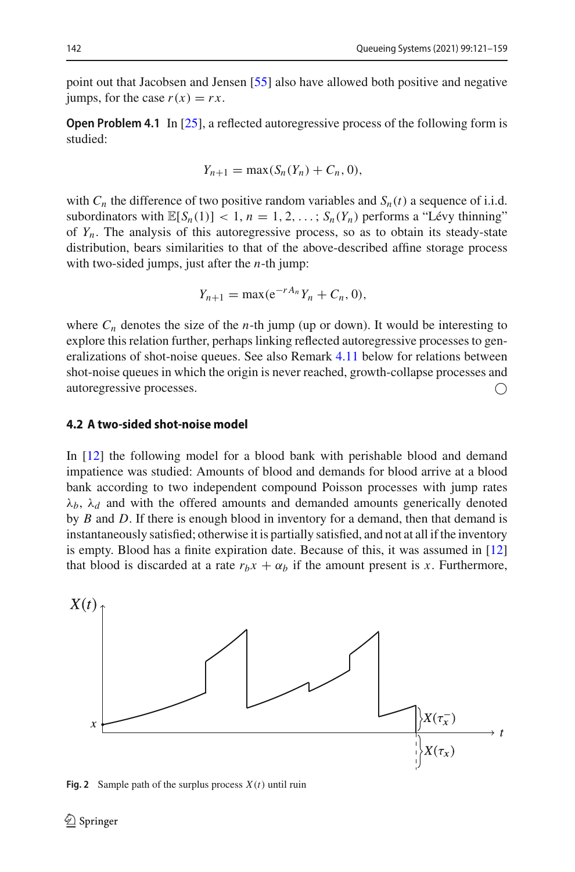point out that Jacobsen and Jensen [\[55\]](#page-38-17) also have allowed both positive and negative jumps, for the case  $r(x) = rx$ .

**Open Problem 4.1** In [\[25](#page-37-18)], a reflected autoregressive process of the following form is studied:

$$
Y_{n+1} = \max(S_n(Y_n) + C_n, 0),
$$

with  $C_n$  the difference of two positive random variables and  $S_n(t)$  a sequence of i.i.d. subordinators with  $\mathbb{E}[S_n(1)] < 1, n = 1, 2, \ldots; S_n(Y_n)$  performs a "Lévy thinning" of *Yn*. The analysis of this autoregressive process, so as to obtain its steady-state distribution, bears similarities to that of the above-described affine storage process with two-sided jumps, just after the *n*-th jump:

$$
Y_{n+1} = \max(e^{-rA_n}Y_n + C_n, 0),
$$

where  $C_n$  denotes the size of the *n*-th jump (up or down). It would be interesting to explore this relation further, perhaps linking reflected autoregressive processes to generalizations of shot-noise queues. See also Remark [4.11](#page-29-0) below for relations between shot-noise queues in which the origin is never reached, growth-collapse processes and autoregressive processes.

#### <span id="page-22-0"></span>**4.2 A two-sided shot-noise model**

In [\[12](#page-36-13)] the following model for a blood bank with perishable blood and demand impatience was studied: Amounts of blood and demands for blood arrive at a blood bank according to two independent compound Poisson processes with jump rates  $\lambda_b$ ,  $\lambda_d$  and with the offered amounts and demanded amounts generically denoted by *B* and *D*. If there is enough blood in inventory for a demand, then that demand is instantaneously satisfied; otherwise it is partially satisfied, and not at all if the inventory is empty. Blood has a finite expiration date. Because of this, it was assumed in [\[12\]](#page-36-13) that blood is discarded at a rate  $r_b x + \alpha_b$  if the amount present is *x*. Furthermore,



<span id="page-22-1"></span>**Fig. 2** Sample path of the surplus process *X*(*t*) until ruin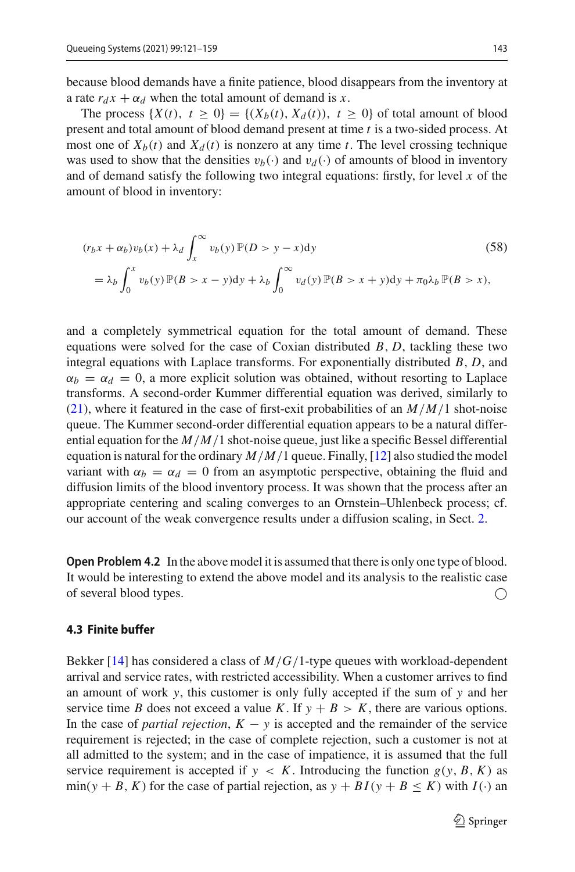because blood demands have a finite patience, blood disappears from the inventory at a rate  $r_d x + \alpha_d$  when the total amount of demand is *x*.

The process  $\{X(t), t \geq 0\} = \{(X_b(t), X_d(t)), t \geq 0\}$  of total amount of blood present and total amount of blood demand present at time *t* is a two-sided process. At most one of  $X_b(t)$  and  $X_d(t)$  is nonzero at any time *t*. The level crossing technique was used to show that the densities  $v_b(\cdot)$  and  $v_d(\cdot)$  of amounts of blood in inventory and of demand satisfy the following two integral equations: firstly, for level *x* of the amount of blood in inventory:

$$
(r_b x + \alpha_b) v_b(x) + \lambda_d \int_x^{\infty} v_b(y) \mathbb{P}(D > y - x) dy
$$
\n
$$
= \lambda_b \int_0^x v_b(y) \mathbb{P}(B > x - y) dy + \lambda_b \int_0^{\infty} v_d(y) \mathbb{P}(B > x + y) dy + \pi_0 \lambda_b \mathbb{P}(B > x),
$$
\n(58)

and a completely symmetrical equation for the total amount of demand. These equations were solved for the case of Coxian distributed  $B$ ,  $D$ , tackling these two integral equations with Laplace transforms. For exponentially distributed *B*, *D*, and  $\alpha_b = \alpha_d = 0$ , a more explicit solution was obtained, without resorting to Laplace transforms. A second-order Kummer differential equation was derived, similarly to [\(21\)](#page-10-0), where it featured in the case of first-exit probabilities of an *M*/*M*/1 shot-noise queue. The Kummer second-order differential equation appears to be a natural differential equation for the  $M/M/1$  shot-noise queue, just like a specific Bessel differential equation is natural for the ordinary  $M/M/1$  queue. Finally, [\[12\]](#page-36-13) also studied the model variant with  $\alpha_b = \alpha_d = 0$  from an asymptotic perspective, obtaining the fluid and diffusion limits of the blood inventory process. It was shown that the process after an appropriate centering and scaling converges to an Ornstein–Uhlenbeck process; cf. our account of the weak convergence results under a diffusion scaling, in Sect. [2.](#page-3-0)

**Open Problem 4.2** In the above model it is assumed that there is only one type of blood. It would be interesting to extend the above model and its analysis to the realistic case of several blood types.

#### <span id="page-23-0"></span>**4.3 Finite buffer**

Bekker [\[14](#page-36-14)] has considered a class of *M*/*G*/1-type queues with workload-dependent arrival and service rates, with restricted accessibility. When a customer arrives to find an amount of work *y*, this customer is only fully accepted if the sum of *y* and her service time *B* does not exceed a value *K*. If  $y + B > K$ , there are various options. In the case of *partial rejection*,  $K - y$  is accepted and the remainder of the service requirement is rejected; in the case of complete rejection, such a customer is not at all admitted to the system; and in the case of impatience, it is assumed that the full service requirement is accepted if  $y \lt K$ . Introducing the function  $g(y, B, K)$  as  $\min(y + B, K)$  for the case of partial rejection, as  $y + BI(y + B \le K)$  with  $I(\cdot)$  an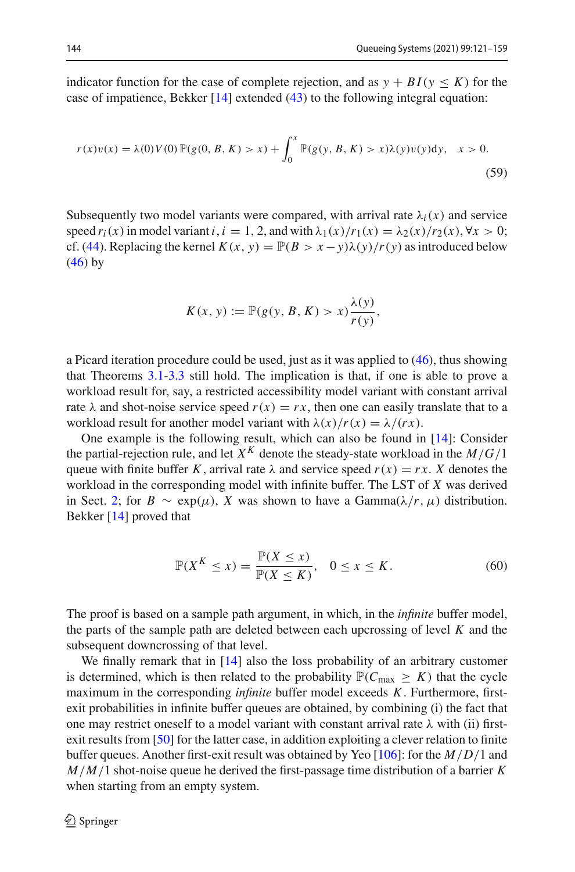indicator function for the case of complete rejection, and as  $y + BI(y \leq K)$  for the case of impatience, Bekker [\[14](#page-36-14)] extended [\(43\)](#page-17-2) to the following integral equation:

$$
r(x)v(x) = \lambda(0)V(0)\mathbb{P}(g(0, B, K) > x) + \int_0^x \mathbb{P}(g(y, B, K) > x)\lambda(y)v(y)dy, \quad x > 0.
$$
\n(59)

Subsequently two model variants were compared, with arrival rate  $\lambda_i(x)$  and service speed  $r_i(x)$  in model variant  $i, i = 1, 2$ , and with  $\lambda_1(x)/r_1(x) = \lambda_2(x)/r_2(x), \forall x > 0$ ; cf. [\(44\)](#page-17-1). Replacing the kernel  $K(x, y) = \mathbb{P}(B > x - y)\lambda(y)/r(y)$  as introduced below  $(46)$  by

$$
K(x, y) := \mathbb{P}(g(y, B, K) > x) \frac{\lambda(y)}{r(y)},
$$

a Picard iteration procedure could be used, just as it was applied to [\(46\)](#page-18-1), thus showing that Theorems [3.1](#page-17-3)[-3.3](#page-19-2) still hold. The implication is that, if one is able to prove a workload result for, say, a restricted accessibility model variant with constant arrival rate  $\lambda$  and shot-noise service speed  $r(x) = rx$ , then one can easily translate that to a workload result for another model variant with  $\lambda(x)/r(x) = \lambda/(rx)$ .

One example is the following result, which can also be found in [\[14\]](#page-36-14): Consider the partial-rejection rule, and let  $X^K$  denote the steady-state workload in the  $M/G/1$ queue with finite buffer *K*, arrival rate  $\lambda$  and service speed  $r(x) = rx$ . *X* denotes the workload in the corresponding model with infinite buffer. The LST of *X* was derived in Sect. [2;](#page-3-0) for  $B \sim \exp(\mu)$ , *X* was shown to have a Gamma $(\lambda/r, \mu)$  distribution. Bekker [\[14](#page-36-14)] proved that

$$
\mathbb{P}(X^K \le x) = \frac{\mathbb{P}(X \le x)}{\mathbb{P}(X \le K)}, \quad 0 \le x \le K. \tag{60}
$$

The proof is based on a sample path argument, in which, in the *infinite* buffer model, the parts of the sample path are deleted between each upcrossing of level *K* and the subsequent downcrossing of that level.

We finally remark that in [\[14\]](#page-36-14) also the loss probability of an arbitrary customer is determined, which is then related to the probability  $\mathbb{P}(C_{\text{max}} \geq K)$  that the cycle maximum in the corresponding *infinite* buffer model exceeds *K*. Furthermore, firstexit probabilities in infinite buffer queues are obtained, by combining (i) the fact that one may restrict oneself to a model variant with constant arrival rate  $\lambda$  with (ii) firstexit results from [\[50\]](#page-38-13) for the latter case, in addition exploiting a clever relation to finite buffer queues. Another first-exit result was obtained by Yeo [\[106\]](#page-39-21): for the *M*/*D*/1 and *M*/*M*/1 shot-noise queue he derived the first-passage time distribution of a barrier *K* when starting from an empty system.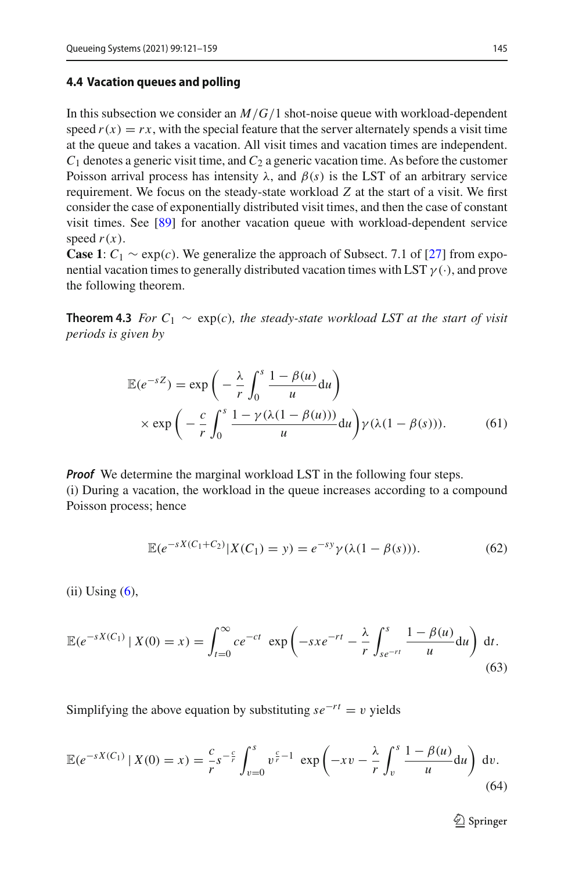#### <span id="page-25-0"></span>**4.4 Vacation queues and polling**

In this subsection we consider an *M*/*G*/1 shot-noise queue with workload-dependent speed  $r(x) = rx$ , with the special feature that the server alternately spends a visit time at the queue and takes a vacation. All visit times and vacation times are independent.  $C_1$  denotes a generic visit time, and  $C_2$  a generic vacation time. As before the customer Poisson arrival process has intensity  $\lambda$ , and  $\beta(s)$  is the LST of an arbitrary service requirement. We focus on the steady-state workload *Z* at the start of a visit. We first consider the case of exponentially distributed visit times, and then the case of constant visit times. See [\[89](#page-39-22)] for another vacation queue with workload-dependent service speed  $r(x)$ .

**Case 1**:  $C_1 \sim \exp(c)$ . We generalize the approach of Subsect. 7.1 of [\[27\]](#page-37-19) from exponential vacation times to generally distributed vacation times with LST  $\gamma(\cdot)$ , and prove the following theorem.

**Theorem 4.3** *For*  $C_1 \sim \exp(c)$ *, the steady-state workload LST at the start of visit periods is given by*

<span id="page-25-1"></span>
$$
\mathbb{E}(e^{-sZ}) = \exp\left(-\frac{\lambda}{r} \int_0^s \frac{1-\beta(u)}{u} du\right)
$$
  
 
$$
\times \exp\left(-\frac{c}{r} \int_0^s \frac{1-\gamma(\lambda(1-\beta(u)))}{u} du\right) \gamma(\lambda(1-\beta(s))).
$$
 (61)

*Proof* We determine the marginal workload LST in the following four steps. (i) During a vacation, the workload in the queue increases according to a compound Poisson process; hence

$$
\mathbb{E}(e^{-sX(C_1+C_2)}|X(C_1)=y) = e^{-sy}\gamma(\lambda(1-\beta(s))).
$$
 (62)

 $(ii)$  Using  $(6)$ ,

<span id="page-25-2"></span>
$$
\mathbb{E}(e^{-sX(C_1)} \mid X(0) = x) = \int_{t=0}^{\infty} ce^{-ct} \exp\left(-sx e^{-rt} - \frac{\lambda}{r} \int_{se^{-rt}}^{s} \frac{1 - \beta(u)}{u} du\right) dt.
$$
\n(63)

Simplifying the above equation by substituting  $se^{-rt} = v$  yields

$$
\mathbb{E}(e^{-sX(C_1)} | X(0) = x) = \frac{c}{r} s^{-\frac{c}{r}} \int_{v=0}^{s} v^{\frac{c}{r}-1} \exp\left(-xv - \frac{\lambda}{r} \int_{v}^{s} \frac{1-\beta(u)}{u} du\right) dv.
$$
\n(64)

 $\mathcal{D}$  Springer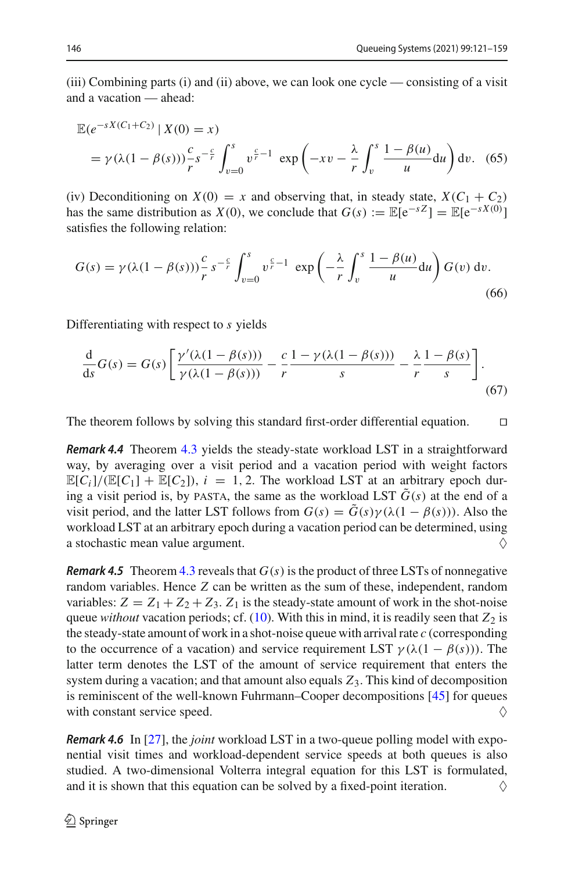(iii) Combining parts (i) and (ii) above, we can look one cycle — consisting of a visit and a vacation — ahead:

$$
\mathbb{E}(e^{-sX(C_1+C_2)} | X(0) = x)
$$
  
=  $\gamma(\lambda(1-\beta(s)))\frac{c}{r}s^{-\frac{c}{r}}\int_{v=0}^{s}v^{\frac{c}{r}-1} \exp\left(-xv - \frac{\lambda}{r}\int_v^s \frac{1-\beta(u)}{u}du\right)dv.$  (65)

(iv) Deconditioning on  $X(0) = x$  and observing that, in steady state,  $X(C_1 + C_2)$ has the same distribution as *X*(0), we conclude that  $G(s) := \mathbb{E}[e^{-sZ}] = \mathbb{E}[e^{-sX(0)}]$ satisfies the following relation:

$$
G(s) = \gamma(\lambda(1-\beta(s)))\frac{c}{r} s^{-\frac{c}{r}} \int_{v=0}^{s} v^{\frac{c}{r}-1} \exp\left(-\frac{\lambda}{r} \int_{v}^{s} \frac{1-\beta(u)}{u} du\right) G(v) dv.
$$
\n(66)

Differentiating with respect to *s* yields

$$
\frac{d}{ds}G(s) = G(s) \left[ \frac{\gamma'(\lambda(1-\beta(s)))}{\gamma(\lambda(1-\beta(s)))} - \frac{c}{r} \frac{1-\gamma(\lambda(1-\beta(s)))}{s} - \frac{\lambda}{r} \frac{1-\beta(s)}{s} \right].
$$
\n(67)

The theorem follows by solving this standard first-order differential equation.  $\Box$ 

*Remark 4.4* Theorem [4.3](#page-25-1) yields the steady-state workload LST in a straightforward way, by averaging over a visit period and a vacation period with weight factors  $\mathbb{E}[C_i]/(\mathbb{E}[C_1] + \mathbb{E}[C_2])$ ,  $i = 1, 2$ . The workload LST at an arbitrary epoch during a visit period is, by PASTA, the same as the workload LST  $\tilde{G}(s)$  at the end of a visit period, and the latter LST follows from  $G(s) = G(s)\gamma(\lambda(1-\beta(s)))$ . Also the workload LST at an arbitrary epoch during a vacation period can be determined, using a stochastic mean value argument.  $\Diamond$ 

*Remark 4.5* Theorem [4.3](#page-25-1) reveals that  $G(s)$  is the product of three LSTs of nonnegative random variables. Hence *Z* can be written as the sum of these, independent, random variables:  $Z = Z_1 + Z_2 + Z_3$ .  $Z_1$  is the steady-state amount of work in the shot-noise queue *without* vacation periods; cf. [\(10\)](#page-7-0). With this in mind, it is readily seen that  $Z_2$  is the steady-state amount of work in a shot-noise queue with arrival rate *c* (corresponding to the occurrence of a vacation) and service requirement LST  $\gamma(\lambda(1-\beta(s)))$ . The latter term denotes the LST of the amount of service requirement that enters the system during a vacation; and that amount also equals *Z*3. This kind of decomposition is reminiscent of the well-known Fuhrmann–Cooper decompositions [\[45](#page-37-20)] for queues with constant service speed.  $\Diamond$ 

<span id="page-26-0"></span>*Remark 4.6* In [\[27](#page-37-19)], the *joint* workload LST in a two-queue polling model with exponential visit times and workload-dependent service speeds at both queues is also studied. A two-dimensional Volterra integral equation for this LST is formulated, and it is shown that this equation can be solved by a fixed-point iteration.  $\Diamond$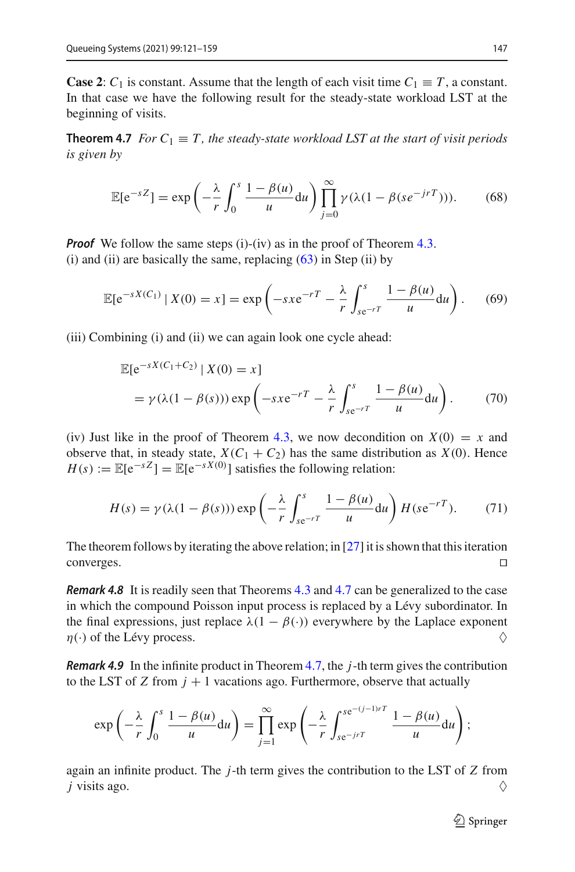<span id="page-27-0"></span>**Case 2**:  $C_1$  is constant. Assume that the length of each visit time  $C_1 \equiv T$ , a constant. In that case we have the following result for the steady-state workload LST at the beginning of visits.

**Theorem 4.7** *For*  $C_1 \equiv T$ *, the steady-state workload LST at the start of visit periods is given by*

$$
\mathbb{E}[e^{-sZ}] = \exp\left(-\frac{\lambda}{r} \int_0^s \frac{1-\beta(u)}{u} du\right) \prod_{j=0}^\infty \gamma(\lambda(1-\beta(se^{-jrT}))).\tag{68}
$$

*Proof* We follow the same steps (i)-(iv) as in the proof of Theorem [4.3.](#page-25-1) (i) and (ii) are basically the same, replacing  $(63)$  in Step (ii) by

$$
\mathbb{E}[e^{-sX(C_1)} | X(0) = x] = \exp\left(-sxe^{-rT} - \frac{\lambda}{r} \int_{se^{-rT}}^{s} \frac{1 - \beta(u)}{u} du\right).
$$
 (69)

(iii) Combining (i) and (ii) we can again look one cycle ahead:

$$
\mathbb{E}[e^{-sX(C_1+C_2)} | X(0) = x]
$$
  
=  $\gamma(\lambda(1-\beta(s))) \exp\left(-sxe^{-rT} - \frac{\lambda}{r} \int_{se^{-rT}}^{s} \frac{1-\beta(u)}{u} du\right).$  (70)

(iv) Just like in the proof of Theorem [4.3,](#page-25-1) we now decondition on  $X(0) = x$  and observe that, in steady state,  $X(C_1 + C_2)$  has the same distribution as  $X(0)$ . Hence  $H(s) := \mathbb{E}[e^{-sZ}] = \mathbb{E}[e^{-sX(0)}]$  satisfies the following relation:

$$
H(s) = \gamma(\lambda(1 - \beta(s))) \exp\left(-\frac{\lambda}{r} \int_{s e^{-rT}}^{s} \frac{1 - \beta(u)}{u} du\right) H(s e^{-rT}).
$$
 (71)

The theorem follows by iterating the above relation; in [\[27](#page-37-19)] it is shown that this iteration converges.

<span id="page-27-1"></span>*Remark 4.8* It is readily seen that Theorems [4.3](#page-25-1) and [4.7](#page-27-0) can be generalized to the case in which the compound Poisson input process is replaced by a Lévy subordinator. In the final expressions, just replace  $\lambda(1 - \beta(\cdot))$  everywhere by the Laplace exponent  $\eta(\cdot)$  of the Lévy process.

*Remark 4.9* In the infinite product in Theorem [4.7,](#page-27-0) the *j*-th term gives the contribution to the LST of *Z* from  $j + 1$  vacations ago. Furthermore, observe that actually

$$
\exp\left(-\frac{\lambda}{r}\int_0^s\frac{1-\beta(u)}{u}\mathrm{d}u\right)=\prod_{j=1}^\infty\exp\left(-\frac{\lambda}{r}\int_{se^{-jr}}^{se^{-(j-1)rT}}\frac{1-\beta(u)}{u}\mathrm{d}u\right);
$$

again an infinite product. The *j*-th term gives the contribution to the LST of *Z* from *j* visits ago.  $\Diamond$ 

 $\bigcirc$  Springer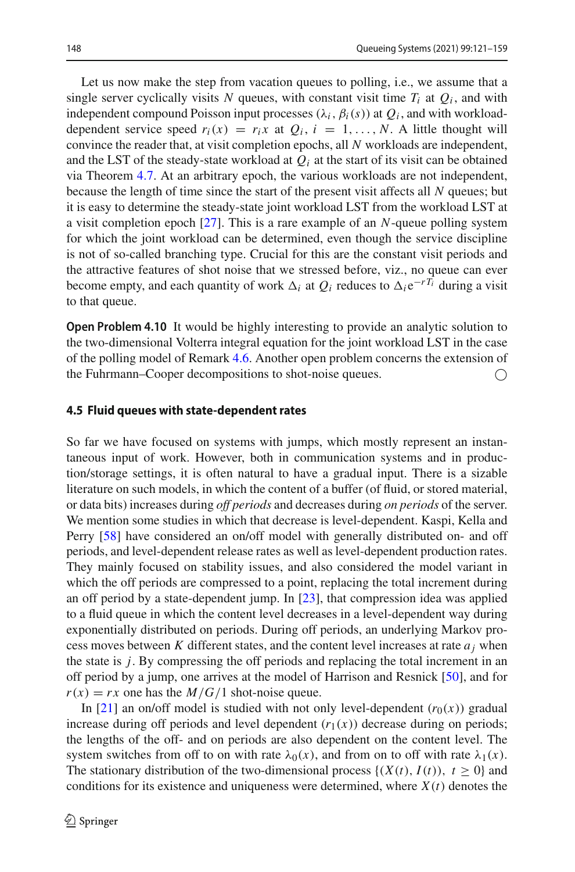Let us now make the step from vacation queues to polling, i.e., we assume that a single server cyclically visits N queues, with constant visit time  $T_i$  at  $Q_i$ , and with independent compound Poisson input processes  $(\lambda_i, \beta_i(s))$  at  $Q_i$ , and with workloaddependent service speed  $r_i(x) = r_i x$  at  $Q_i$ ,  $i = 1, ..., N$ . A little thought will convince the reader that, at visit completion epochs, all *N* workloads are independent, and the LST of the steady-state workload at  $Q_i$  at the start of its visit can be obtained via Theorem [4.7.](#page-27-0) At an arbitrary epoch, the various workloads are not independent, because the length of time since the start of the present visit affects all *N* queues; but it is easy to determine the steady-state joint workload LST from the workload LST at a visit completion epoch [\[27\]](#page-37-19). This is a rare example of an *N*-queue polling system for which the joint workload can be determined, even though the service discipline is not of so-called branching type. Crucial for this are the constant visit periods and the attractive features of shot noise that we stressed before, viz., no queue can ever become empty, and each quantity of work  $\Delta_i$  at  $Q_i$  reduces to  $\Delta_i e^{-rT_i}$  during a visit to that queue.

**Open Problem 4.10** It would be highly interesting to provide an analytic solution to the two-dimensional Volterra integral equation for the joint workload LST in the case of the polling model of Remark [4.6.](#page-26-0) Another open problem concerns the extension of the Fuhrmann–Cooper decompositions to shot-noise queues.

#### <span id="page-28-0"></span>**4.5 Fluid queues with state-dependent rates**

So far we have focused on systems with jumps, which mostly represent an instantaneous input of work. However, both in communication systems and in production/storage settings, it is often natural to have a gradual input. There is a sizable literature on such models, in which the content of a buffer (of fluid, or stored material, or data bits) increases during *off periods* and decreases during *on periods* of the server. We mention some studies in which that decrease is level-dependent. Kaspi, Kella and Perry [\[58](#page-38-18)] have considered an on/off model with generally distributed on- and off periods, and level-dependent release rates as well as level-dependent production rates. They mainly focused on stability issues, and also considered the model variant in which the off periods are compressed to a point, replacing the total increment during an off period by a state-dependent jump. In [\[23](#page-37-21)], that compression idea was applied to a fluid queue in which the content level decreases in a level-dependent way during exponentially distributed on periods. During off periods, an underlying Markov process moves between K different states, and the content level increases at rate  $a_i$  when the state is *j*. By compressing the off periods and replacing the total increment in an off period by a jump, one arrives at the model of Harrison and Resnick [\[50\]](#page-38-13), and for  $r(x) = rx$  one has the *M*/*G*/1 shot-noise queue.

In [\[21\]](#page-37-22) an on/off model is studied with not only level-dependent  $(r_0(x))$  gradual increase during off periods and level dependent  $(r_1(x))$  decrease during on periods; the lengths of the off- and on periods are also dependent on the content level. The system switches from off to on with rate  $\lambda_0(x)$ , and from on to off with rate  $\lambda_1(x)$ . The stationary distribution of the two-dimensional process  $\{(X(t), I(t)), t \geq 0\}$  and conditions for its existence and uniqueness were determined, where  $X(t)$  denotes the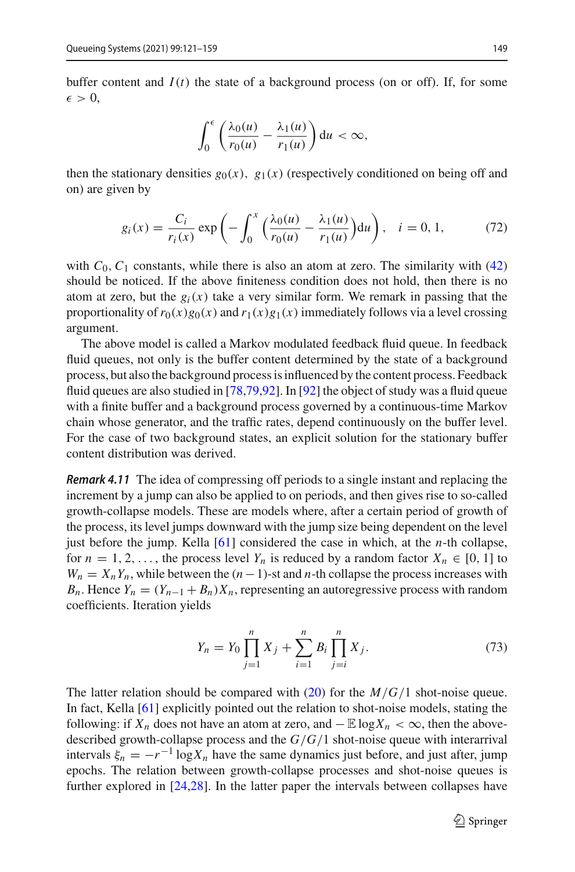buffer content and  $I(t)$  the state of a background process (on or off). If, for some  $\epsilon > 0$ ,

$$
\int_0^{\epsilon} \left( \frac{\lambda_0(u)}{r_0(u)} - \frac{\lambda_1(u)}{r_1(u)} \right) du < \infty,
$$

then the stationary densities  $g_0(x)$ ,  $g_1(x)$  (respectively conditioned on being off and on) are given by

$$
g_i(x) = \frac{C_i}{r_i(x)} \exp\left(-\int_0^x \left(\frac{\lambda_0(u)}{r_0(u)} - \frac{\lambda_1(u)}{r_1(u)}\right) du\right), \quad i = 0, 1,
$$
 (72)

with  $C_0$ ,  $C_1$  constants, while there is also an atom at zero. The similarity with  $(42)$ should be noticed. If the above finiteness condition does not hold, then there is no atom at zero, but the  $g_i(x)$  take a very similar form. We remark in passing that the proportionality of  $r_0(x)g_0(x)$  and  $r_1(x)g_1(x)$  immediately follows via a level crossing argument.

The above model is called a Markov modulated feedback fluid queue. In feedback fluid queues, not only is the buffer content determined by the state of a background process, but also the background process is influenced by the content process. Feedback fluid queues are also studied in [\[78](#page-39-23)[,79](#page-39-24)[,92\]](#page-39-25). In [\[92\]](#page-39-25) the object of study was a fluid queue with a finite buffer and a background process governed by a continuous-time Markov chain whose generator, and the traffic rates, depend continuously on the buffer level. For the case of two background states, an explicit solution for the stationary buffer content distribution was derived.

<span id="page-29-0"></span>*Remark 4.11* The idea of compressing off periods to a single instant and replacing the increment by a jump can also be applied to on periods, and then gives rise to so-called growth-collapse models. These are models where, after a certain period of growth of the process, its level jumps downward with the jump size being dependent on the level just before the jump. Kella [\[61\]](#page-38-19) considered the case in which, at the *n*-th collapse, for  $n = 1, 2, \ldots$ , the process level  $Y_n$  is reduced by a random factor  $X_n \in [0, 1]$  to  $W_n = X_n Y_n$ , while between the  $(n-1)$ -st and *n*-th collapse the process increases with *B<sub>n</sub>*. Hence  $Y_n = (Y_{n-1} + B_n)X_n$ , representing an autoregressive process with random coefficients. Iteration yields

$$
Y_n = Y_0 \prod_{j=1}^n X_j + \sum_{i=1}^n B_i \prod_{j=i}^n X_j.
$$
 (73)

The latter relation should be compared with [\(20\)](#page-9-1) for the *M*/*G*/1 shot-noise queue. In fact, Kella [\[61](#page-38-19)] explicitly pointed out the relation to shot-noise models, stating the following: if  $X_n$  does not have an atom at zero, and  $-\mathbb{E} \log X_n < \infty$ , then the abovedescribed growth-collapse process and the *G*/*G*/1 shot-noise queue with interarrival intervals  $\xi_n = -r^{-1} \log X_n$  have the same dynamics just before, and just after, jump epochs. The relation between growth-collapse processes and shot-noise queues is further explored in [\[24](#page-37-23)[,28\]](#page-37-24). In the latter paper the intervals between collapses have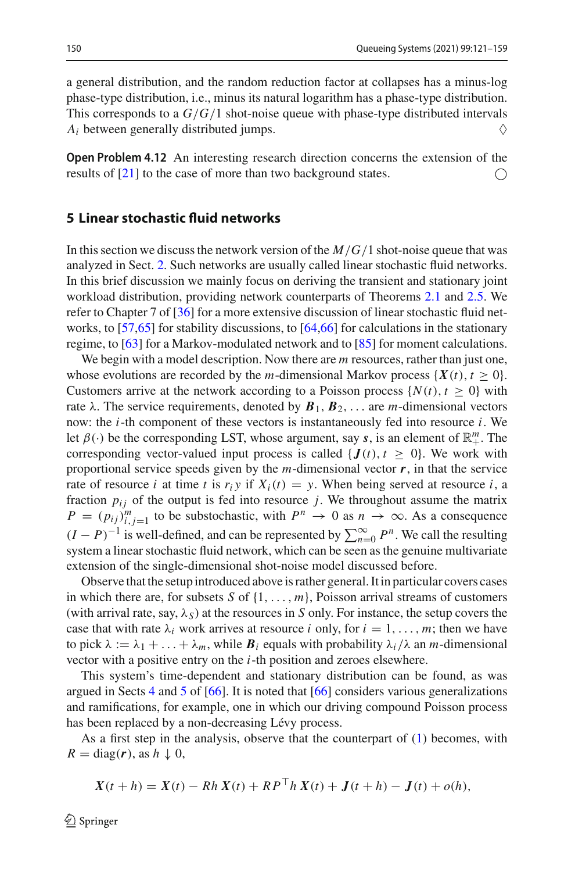a general distribution, and the random reduction factor at collapses has a minus-log phase-type distribution, i.e., minus its natural logarithm has a phase-type distribution. This corresponds to a *G*/*G*/1 shot-noise queue with phase-type distributed intervals  $A_i$  between generally distributed jumps.  $\Diamond$ 

**Open Problem 4.12** An interesting research direction concerns the extension of the results of [\[21](#page-37-22)] to the case of more than two background states.

#### <span id="page-30-0"></span>**5 Linear stochastic fluid networks**

In this section we discuss the network version of the *M*/*G*/1 shot-noise queue that was analyzed in Sect. [2.](#page-3-0) Such networks are usually called linear stochastic fluid networks. In this brief discussion we mainly focus on deriving the transient and stationary joint workload distribution, providing network counterparts of Theorems [2.1](#page-5-4) and [2.5.](#page-7-4) We refer to Chapter 7 of [\[36](#page-37-25)] for a more extensive discussion of linear stochastic fluid networks, to [\[57](#page-38-20)[,65](#page-38-21)] for stability discussions, to [\[64](#page-38-22)[,66](#page-38-8)] for calculations in the stationary regime, to [\[63\]](#page-38-23) for a Markov-modulated network and to [\[85](#page-39-26)] for moment calculations.

We begin with a model description. Now there are *m* resources, rather than just one, whose evolutions are recorded by the *m*-dimensional Markov process  $\{X(t), t \geq 0\}$ . Customers arrive at the network according to a Poisson process  $\{N(t), t \geq 0\}$  with rate  $\lambda$ . The service requirements, denoted by  $\mathbf{B}_1$ ,  $\mathbf{B}_2$ , ... are *m*-dimensional vectors now: the *i*-th component of these vectors is instantaneously fed into resource *i*. We let  $\beta(\cdot)$  be the corresponding LST, whose argument, say *s*, is an element of  $\mathbb{R}^m_+$ . The corresponding vector-valued input process is called  $\{J(t), t \geq 0\}$ . We work with proportional service speeds given by the  $m$ -dimensional vector  $r$ , in that the service rate of resource *i* at time *t* is  $r_i y$  if  $X_i(t) = y$ . When being served at resource *i*, a fraction  $p_{ij}$  of the output is fed into resource  $j$ . We throughout assume the matrix  $P = (p_{ij})_{i,j=1}^m$  to be substochastic, with  $P^n \to 0$  as  $n \to \infty$ . As a consequence  $(I - P)^{-1}$  is well-defined, and can be represented by  $\sum_{n=0}^{\infty} P^n$ . We call the resulting system a linear stochastic fluid network, which can be seen as the genuine multivariate extension of the single-dimensional shot-noise model discussed before.

Observe that the setup introduced above is rather general. It in particular covers cases in which there are, for subsets *S* of {1,..., *m*}, Poisson arrival streams of customers (with arrival rate, say,  $\lambda_S$ ) at the resources in *S* only. For instance, the setup covers the case that with rate  $\lambda_i$  work arrives at resource *i* only, for  $i = 1, \ldots, m$ ; then we have to pick  $\lambda := \lambda_1 + \ldots + \lambda_m$ , while  $\mathbf{B}_i$  equals with probability  $\lambda_i/\lambda$  an *m*-dimensional vector with a positive entry on the *i*-th position and zeroes elsewhere.

This system's time-dependent and stationary distribution can be found, as was argued in Sects [4](#page-20-0) and [5](#page-30-0) of  $[66]$  $[66]$ . It is noted that  $[66]$  considers various generalizations and ramifications, for example, one in which our driving compound Poisson process has been replaced by a non-decreasing Lévy process.

As a first step in the analysis, observe that the counterpart of [\(1\)](#page-4-3) becomes, with  $R = \text{diag}(r)$ , as  $h \downarrow 0$ ,

$$
X(t + h) = X(t) - Rh X(t) + RP^{\top}h X(t) + J(t + h) - J(t) + o(h),
$$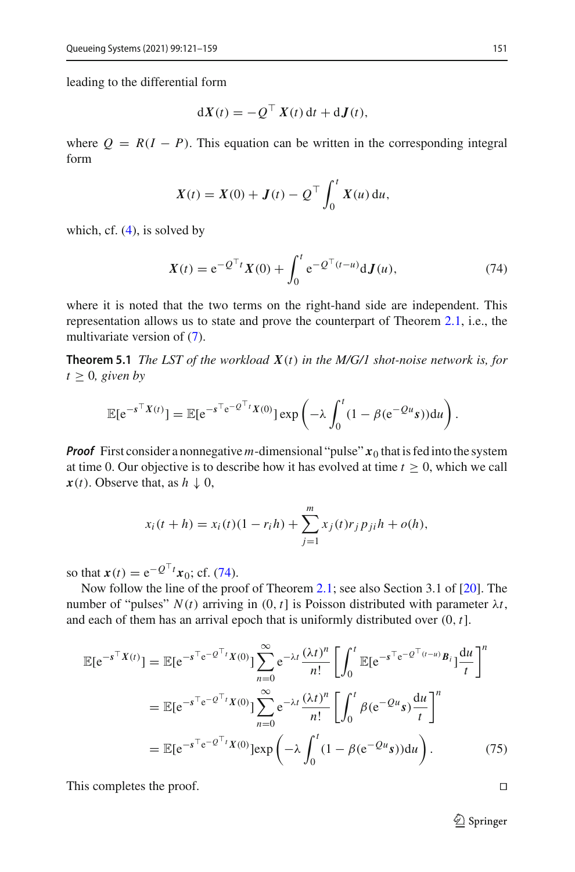leading to the differential form

$$
dX(t) = -Q^{\top} X(t) dt + dJ(t),
$$

where  $Q = R(I - P)$ . This equation can be written in the corresponding integral form

$$
X(t) = X(0) + J(t) - Q^{\top} \int_0^t X(u) \, \mathrm{d}u,
$$

which, cf.  $(4)$ , is solved by

<span id="page-31-0"></span>
$$
X(t) = e^{-Q^{\top}t}X(0) + \int_0^t e^{-Q^{\top}(t-u)} dJ(u),
$$
\n(74)

where it is noted that the two terms on the right-hand side are independent. This representation allows us to state and prove the counterpart of Theorem [2.1,](#page-5-4) i.e., the multivariate version of [\(7\)](#page-5-3).

<span id="page-31-1"></span>**Theorem 5.1** *The LST of the workload X*(*t*) *in the M/G/1 shot-noise network is, for*  $t > 0$ *, given by* 

$$
\mathbb{E}[e^{-s^\top X(t)}] = \mathbb{E}[e^{-s^\top e^{-Q^\top t}X(0)}] \exp\left(-\lambda \int_0^t (1-\beta(e^{-Qu} s)) du\right).
$$

*Proof* First consider a nonnegative m-dimensional "pulse"  $x_0$  that is fed into the system at time 0. Our objective is to describe how it has evolved at time  $t \geq 0$ , which we call  $x(t)$ . Observe that, as  $h \downarrow 0$ ,

$$
x_i(t + h) = x_i(t)(1 - r_i h) + \sum_{j=1}^{m} x_j(t) r_j p_{ji} h + o(h),
$$

so that  $x(t) = e^{-Q^T t} x_0$ ; cf. [\(74\)](#page-31-0).

Now follow the line of the proof of Theorem [2.1;](#page-5-4) see also Section 3.1 of [\[20](#page-37-26)]. The number of "pulses"  $N(t)$  arriving in  $(0, t]$  is Poisson distributed with parameter  $\lambda t$ , and each of them has an arrival epoch that is uniformly distributed over (0, *t*].

$$
\mathbb{E}[e^{-s^{\top}X(t)}] = \mathbb{E}[e^{-s^{\top}e^{-Q^{\top}t}X(0)}] \sum_{n=0}^{\infty} e^{-\lambda t} \frac{(\lambda t)^n}{n!} \left[ \int_0^t \mathbb{E}[e^{-s^{\top}e^{-Q^{\top}t-u}} B_i] \frac{du}{t} \right]^n
$$

$$
= \mathbb{E}[e^{-s^{\top}e^{-Q^{\top}t}X(0)}] \sum_{n=0}^{\infty} e^{-\lambda t} \frac{(\lambda t)^n}{n!} \left[ \int_0^t \beta(e^{-Qu} s) \frac{du}{t} \right]^n
$$

$$
= \mathbb{E}[e^{-s^{\top}e^{-Q^{\top}t}X(0)}] \exp\left(-\lambda \int_0^t (1 - \beta(e^{-Qu} s)) du\right). \tag{75}
$$

This completes the proof.

<sup>2</sup> Springer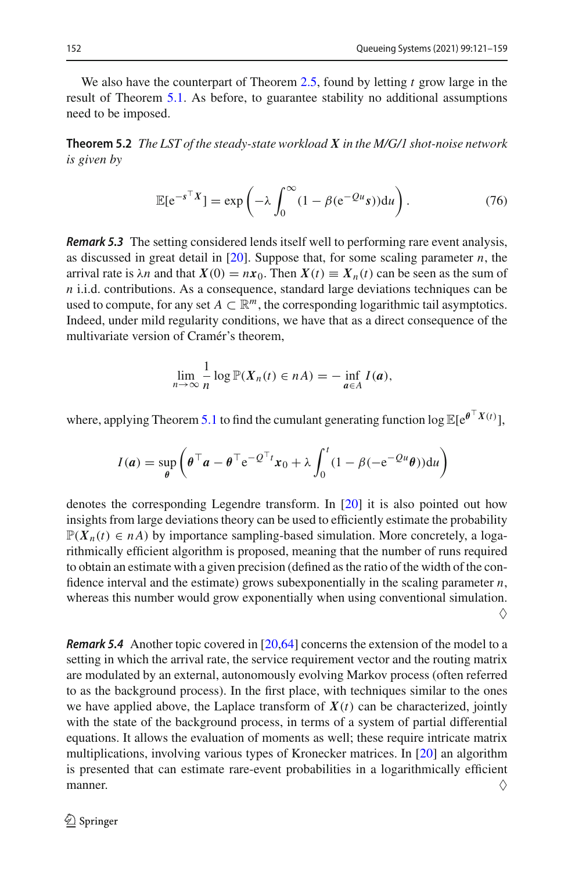We also have the counterpart of Theorem [2.5,](#page-7-4) found by letting *t* grow large in the result of Theorem [5.1.](#page-31-1) As before, to guarantee stability no additional assumptions need to be imposed.

**Theorem 5.2** *The LST of the steady-state workload X in the M/G/1 shot-noise network is given by*

$$
\mathbb{E}[e^{-s^{\top}X}] = \exp\left(-\lambda \int_0^{\infty} (1 - \beta(e^{-Qu}s))du\right).
$$
 (76)

<span id="page-32-0"></span>*Remark 5.3* The setting considered lends itself well to performing rare event analysis, as discussed in great detail in [\[20](#page-37-26)]. Suppose that, for some scaling parameter *n*, the arrival rate is  $\lambda n$  and that  $X(0) = nx_0$ . Then  $X(t) \equiv X_n(t)$  can be seen as the sum of *n* i.i.d. contributions. As a consequence, standard large deviations techniques can be used to compute, for any set  $A \subset \mathbb{R}^m$ , the corresponding logarithmic tail asymptotics. Indeed, under mild regularity conditions, we have that as a direct consequence of the multivariate version of Cramér's theorem,

$$
\lim_{n\to\infty}\frac{1}{n}\log\mathbb{P}(X_n(t)\in nA)=-\inf_{a\in A}I(a),
$$

where, applying Theorem [5.1](#page-31-1) to find the cumulant generating function  $\log \mathbb{E}[e^{\theta^\top X(t)}]$ ,

$$
I(a) = \sup_{\theta} \left( \theta^\top a - \theta^\top e^{-Q^\top t} x_0 + \lambda \int_0^t (1 - \beta(-e^{-Qu}\theta)) du \right)
$$

denotes the corresponding Legendre transform. In [\[20\]](#page-37-26) it is also pointed out how insights from large deviations theory can be used to efficiently estimate the probability  $\mathbb{P}(X_n(t) \in n\mathbb{A})$  by importance sampling-based simulation. More concretely, a logarithmically efficient algorithm is proposed, meaning that the number of runs required to obtain an estimate with a given precision (defined as the ratio of the width of the confidence interval and the estimate) grows subexponentially in the scaling parameter *n*, whereas this number would grow exponentially when using conventional simulation.  $\Diamond$ 

<span id="page-32-1"></span>*Remark 5.4* Another topic covered in [\[20](#page-37-26)[,64\]](#page-38-22) concerns the extension of the model to a setting in which the arrival rate, the service requirement vector and the routing matrix are modulated by an external, autonomously evolving Markov process (often referred to as the background process). In the first place, with techniques similar to the ones we have applied above, the Laplace transform of  $X(t)$  can be characterized, jointly with the state of the background process, in terms of a system of partial differential equations. It allows the evaluation of moments as well; these require intricate matrix multiplications, involving various types of Kronecker matrices. In [\[20](#page-37-26)] an algorithm is presented that can estimate rare-event probabilities in a logarithmically efficient manner.  $\Diamond$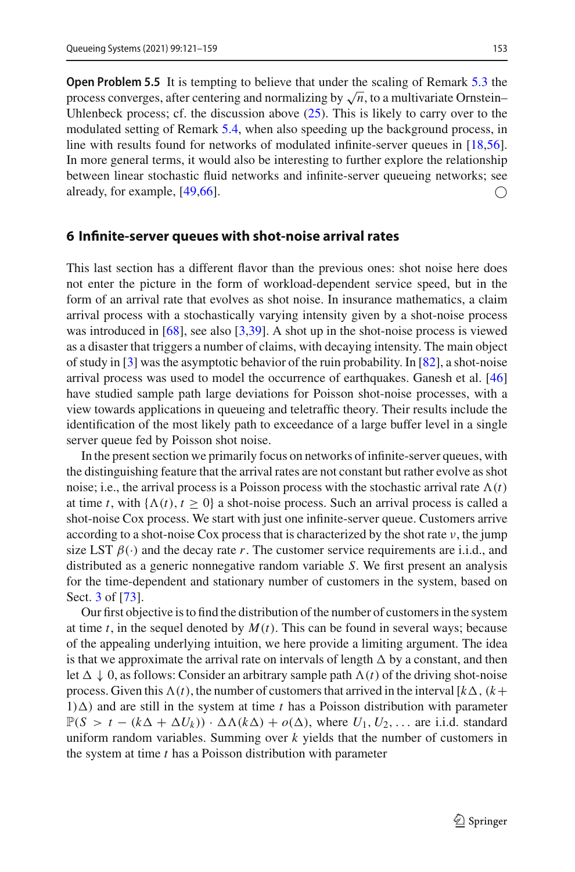**Open Problem 5.5** It is tempting to believe that under the scaling of Remark [5.3](#page-32-0) the process converges, after centering and normalizing by  $\sqrt{n}$ , to a multivariate Ornstein– Uhlenbeck process; cf. the discussion above  $(25)$ . This is likely to carry over to the modulated setting of Remark [5.4,](#page-32-1) when also speeding up the background process, in line with results found for networks of modulated infinite-server queues in [\[18](#page-37-27)[,56](#page-38-24)]. In more general terms, it would also be interesting to further explore the relationship between linear stochastic fluid networks and infinite-server queueing networks; see already, for example,  $[49,66]$  $[49,66]$ .

#### <span id="page-33-0"></span>**6 Infinite-server queues with shot-noise arrival rates**

This last section has a different flavor than the previous ones: shot noise here does not enter the picture in the form of workload-dependent service speed, but in the form of an arrival rate that evolves as shot noise. In insurance mathematics, a claim arrival process with a stochastically varying intensity given by a shot-noise process was introduced in [\[68](#page-38-3)], see also [\[3](#page-36-15)[,39](#page-37-28)]. A shot up in the shot-noise process is viewed as a disaster that triggers a number of claims, with decaying intensity. The main object of study in [\[3](#page-36-15)] was the asymptotic behavior of the ruin probability. In [\[82](#page-39-7)], a shot-noise arrival process was used to model the occurrence of earthquakes. Ganesh et al. [\[46\]](#page-37-29) have studied sample path large deviations for Poisson shot-noise processes, with a view towards applications in queueing and teletraffic theory. Their results include the identification of the most likely path to exceedance of a large buffer level in a single server queue fed by Poisson shot noise.

In the present section we primarily focus on networks of infinite-server queues, with the distinguishing feature that the arrival rates are not constant but rather evolve as shot noise; i.e., the arrival process is a Poisson process with the stochastic arrival rate  $\Lambda(t)$ at time *t*, with  $\{\Lambda(t), t \geq 0\}$  a shot-noise process. Such an arrival process is called a shot-noise Cox process. We start with just one infinite-server queue. Customers arrive according to a shot-noise Cox process that is characterized by the shot rate  $\nu$ , the jump size LST  $\beta(\cdot)$  and the decay rate *r*. The customer service requirements are i.i.d., and distributed as a generic nonnegative random variable *S*. We first present an analysis for the time-dependent and stationary number of customers in the system, based on Sect. [3](#page-14-0) of [\[73](#page-38-25)].

Our first objective is to find the distribution of the number of customers in the system at time *t*, in the sequel denoted by *M*(*t*). This can be found in several ways; because of the appealing underlying intuition, we here provide a limiting argument. The idea is that we approximate the arrival rate on intervals of length  $\Delta$  by a constant, and then let  $\Delta \downarrow 0$ , as follows: Consider an arbitrary sample path  $\Lambda(t)$  of the driving shot-noise process. Given this  $\Lambda(t)$ , the number of customers that arrived in the interval  $[k\Delta, (k+1)]$  $1)$  $\Delta$ ) and are still in the system at time *t* has a Poisson distribution with parameter  $\mathbb{P}(S > t - (k\Delta + \Delta U_k)) \cdot \Delta \Lambda (k\Delta) + o(\Delta)$ , where  $U_1, U_2, \ldots$  are i.i.d. standard uniform random variables. Summing over *k* yields that the number of customers in the system at time *t* has a Poisson distribution with parameter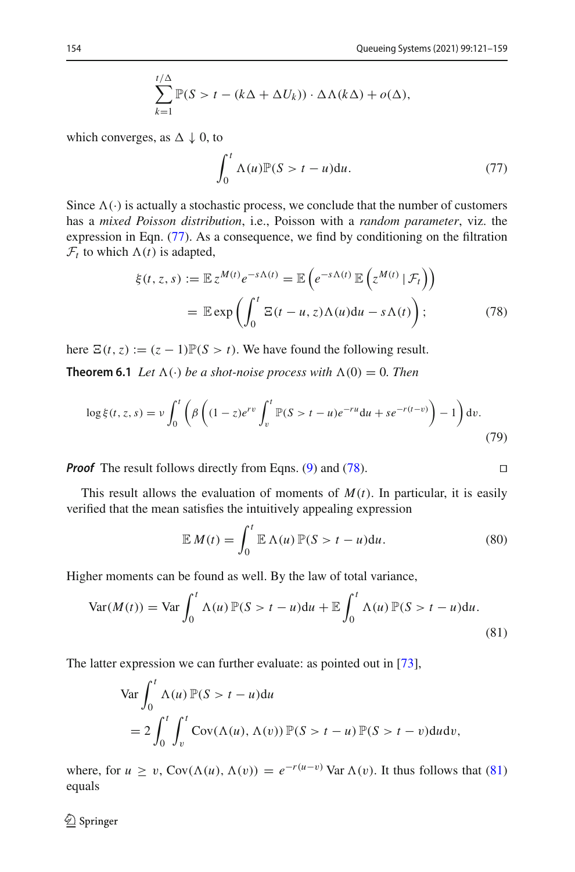$$
\sum_{k=1}^{t/\Delta} \mathbb{P}(S > t - (k\Delta + \Delta U_k)) \cdot \Delta \Lambda(k\Delta) + o(\Delta),
$$

which converges, as  $\Delta \downarrow 0$ , to

<span id="page-34-0"></span>
$$
\int_0^t \Lambda(u)\mathbb{P}(S > t - u) \mathrm{d}u. \tag{77}
$$

Since  $\Lambda(\cdot)$  is actually a stochastic process, we conclude that the number of customers has a *mixed Poisson distribution*, i.e., Poisson with a *random parameter*, viz. the expression in Eqn. [\(77\)](#page-34-0). As a consequence, we find by conditioning on the filtration  $\mathcal{F}_t$  to which  $\Lambda(t)$  is adapted,

<span id="page-34-1"></span>
$$
\xi(t, z, s) := \mathbb{E} z^{M(t)} e^{-s\Lambda(t)} = \mathbb{E} \left( e^{-s\Lambda(t)} \mathbb{E} \left( z^{M(t)} | \mathcal{F}_t \right) \right)
$$

$$
= \mathbb{E} \exp \left( \int_0^t \Xi(t - u, z) \Lambda(u) du - s\Lambda(t) \right); \tag{78}
$$

here  $\Xi(t, z) := (z - 1)\mathbb{P}(S > t)$ . We have found the following result.

**Theorem 6.1** *Let*  $\Lambda(\cdot)$  *be a shot-noise process with*  $\Lambda(0) = 0$ *. Then* 

$$
\log \xi(t, z, s) = \nu \int_0^t \left( \beta \left( (1 - z)e^{rv} \int_v^t \mathbb{P}(S > t - u)e^{-ru} du + se^{-r(t - v)} \right) - 1 \right) dv.
$$
\n(79)

*Proof* The result follows directly from Eqns. [\(9\)](#page-6-0) and [\(78\)](#page-34-1).

This result allows the evaluation of moments of  $M(t)$ . In particular, it is easily verified that the mean satisfies the intuitively appealing expression

$$
\mathbb{E} M(t) = \int_0^t \mathbb{E} \Lambda(u) \mathbb{P}(S > t - u) \mathrm{d}u.
$$
 (80)

Higher moments can be found as well. By the law of total variance,

<span id="page-34-2"></span>
$$
\text{Var}(M(t)) = \text{Var}\int_0^t \Lambda(u)\,\mathbb{P}(S > t - u)du + \mathbb{E}\int_0^t \Lambda(u)\,\mathbb{P}(S > t - u)du. \tag{81}
$$

The latter expression we can further evaluate: as pointed out in [\[73\]](#page-38-25),

$$
\begin{aligned} \n\text{Var} \int_0^t \Lambda(u) \, \mathbb{P}(S > t - u) \, \mathrm{d}u \\ \n&= 2 \int_0^t \int_v^t \text{Cov}(\Lambda(u), \Lambda(v)) \, \mathbb{P}(S > t - u) \, \mathbb{P}(S > t - v) \, \mathrm{d}u \, \mathrm{d}v, \n\end{aligned}
$$

where, for  $u \ge v$ , Cov( $\Lambda(u)$ ,  $\Lambda(v) = e^{-r(u-v)}$  Var  $\Lambda(v)$ . It thus follows that [\(81\)](#page-34-2) equals

$$
\Box
$$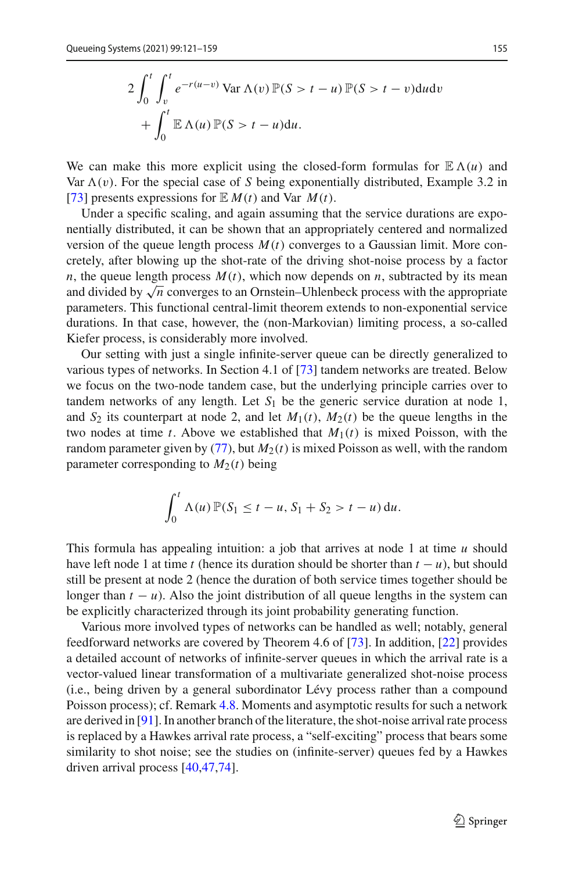$$
2\int_0^t \int_v^t e^{-r(u-v)} \operatorname{Var}\Lambda(v) \mathbb{P}(S > t - u) \mathbb{P}(S > t - v) du dv
$$

$$
+ \int_0^t \mathbb{E}\Lambda(u) \mathbb{P}(S > t - u) du.
$$

We can make this more explicit using the closed-form formulas for  $\mathbb{E}\Lambda(u)$  and Var  $\Lambda(v)$ . For the special case of *S* being exponentially distributed, Example 3.2 in [\[73](#page-38-25)] presents expressions for  $\mathbb{E} M(t)$  and Var  $M(t)$ .

Under a specific scaling, and again assuming that the service durations are exponentially distributed, it can be shown that an appropriately centered and normalized version of the queue length process  $M(t)$  converges to a Gaussian limit. More concretely, after blowing up the shot-rate of the driving shot-noise process by a factor *n*, the queue length process  $M(t)$ , which now depends on *n*, subtracted by its mean and divided by  $\sqrt{n}$  converges to an Ornstein–Uhlenbeck process with the appropriate parameters. This functional central-limit theorem extends to non-exponential service durations. In that case, however, the (non-Markovian) limiting process, a so-called Kiefer process, is considerably more involved.

Our setting with just a single infinite-server queue can be directly generalized to various types of networks. In Section 4.1 of [\[73](#page-38-25)] tandem networks are treated. Below we focus on the two-node tandem case, but the underlying principle carries over to tandem networks of any length. Let  $S_1$  be the generic service duration at node 1, and  $S_2$  its counterpart at node 2, and let  $M_1(t)$ ,  $M_2(t)$  be the queue lengths in the two nodes at time *t*. Above we established that  $M_1(t)$  is mixed Poisson, with the random parameter given by  $(77)$ , but  $M<sub>2</sub>(t)$  is mixed Poisson as well, with the random parameter corresponding to  $M_2(t)$  being

$$
\int_0^t \Lambda(u) \, \mathbb{P}(S_1 \leq t-u, S_1+S_2 > t-u) \, \mathrm{d}u.
$$

This formula has appealing intuition: a job that arrives at node 1 at time *u* should have left node 1 at time *t* (hence its duration should be shorter than  $t - u$ ), but should still be present at node 2 (hence the duration of both service times together should be longer than  $t - u$ ). Also the joint distribution of all queue lengths in the system can be explicitly characterized through its joint probability generating function.

Various more involved types of networks can be handled as well; notably, general feedforward networks are covered by Theorem 4.6 of [\[73](#page-38-25)]. In addition, [\[22](#page-37-8)] provides a detailed account of networks of infinite-server queues in which the arrival rate is a vector-valued linear transformation of a multivariate generalized shot-noise process (i.e., being driven by a general subordinator Lévy process rather than a compound Poisson process); cf. Remark [4.8.](#page-27-1) Moments and asymptotic results for such a network are derived in [\[91\]](#page-39-27). In another branch of the literature, the shot-noise arrival rate process is replaced by a Hawkes arrival rate process, a "self-exciting" process that bears some similarity to shot noise; see the studies on (infinite-server) queues fed by a Hawkes driven arrival process [\[40](#page-37-30)[,47](#page-37-31)[,74\]](#page-38-26).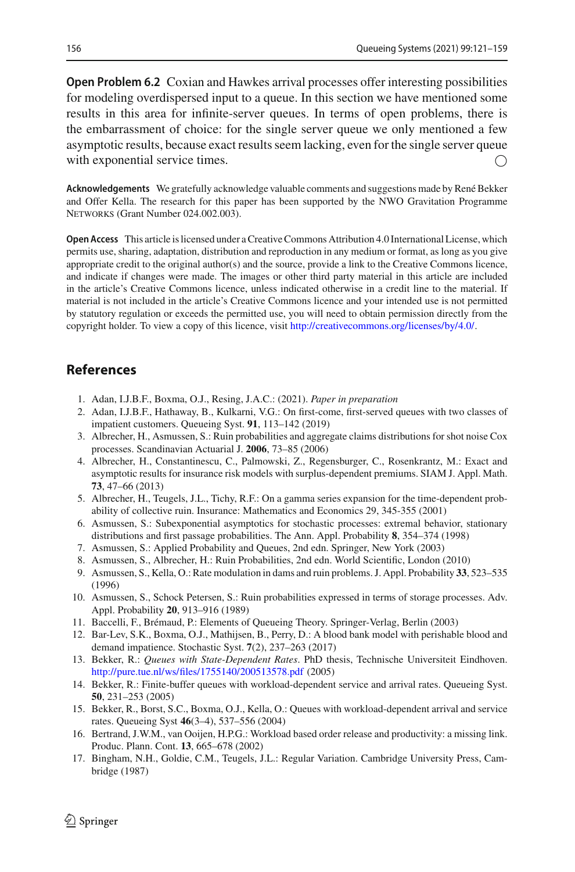**Open Problem 6.2** Coxian and Hawkes arrival processes offer interesting possibilities for modeling overdispersed input to a queue. In this section we have mentioned some results in this area for infinite-server queues. In terms of open problems, there is the embarrassment of choice: for the single server queue we only mentioned a few asymptotic results, because exact results seem lacking, even for the single server queue with exponential service times.

**Acknowledgements** We gratefully acknowledge valuable comments and suggestions made by René Bekker and Offer Kella. The research for this paper has been supported by the NWO Gravitation Programme NETWORKS (Grant Number 024.002.003).

**Open Access** This article is licensed under a Creative Commons Attribution 4.0 International License, which permits use, sharing, adaptation, distribution and reproduction in any medium or format, as long as you give appropriate credit to the original author(s) and the source, provide a link to the Creative Commons licence, and indicate if changes were made. The images or other third party material in this article are included in the article's Creative Commons licence, unless indicated otherwise in a credit line to the material. If material is not included in the article's Creative Commons licence and your intended use is not permitted by statutory regulation or exceeds the permitted use, you will need to obtain permission directly from the copyright holder. To view a copy of this licence, visit [http://creativecommons.org/licenses/by/4.0/.](http://creativecommons.org/licenses/by/4.0/)

### **References**

- <span id="page-36-4"></span>1. Adan, I.J.B.F., Boxma, O.J., Resing, J.A.C.: (2021). *Paper in preparation*
- <span id="page-36-5"></span>2. Adan, I.J.B.F., Hathaway, B., Kulkarni, V.G.: On first-come, first-served queues with two classes of impatient customers. Queueing Syst. **91**, 113–142 (2019)
- <span id="page-36-15"></span>3. Albrecher, H., Asmussen, S.: Ruin probabilities and aggregate claims distributions for shot noise Cox processes. Scandinavian Actuarial J. **2006**, 73–85 (2006)
- <span id="page-36-12"></span>4. Albrecher, H., Constantinescu, C., Palmowski, Z., Regensburger, C., Rosenkrantz, M.: Exact and asymptotic results for insurance risk models with surplus-dependent premiums. SIAM J. Appl. Math. **73**, 47–66 (2013)
- <span id="page-36-11"></span>5. Albrecher, H., Teugels, J.L., Tichy, R.F.: On a gamma series expansion for the time-dependent probability of collective ruin. Insurance: Mathematics and Economics 29, 345-355 (2001)
- <span id="page-36-3"></span>6. Asmussen, S.: Subexponential asymptotics for stochastic processes: extremal behavior, stationary distributions and first passage probabilities. The Ann. Appl. Probability **8**, 354–374 (1998)
- <span id="page-36-6"></span>7. Asmussen, S.: Applied Probability and Queues, 2nd edn. Springer, New York (2003)
- <span id="page-36-9"></span>8. Asmussen, S., Albrecher, H.: Ruin Probabilities, 2nd edn. World Scientific, London (2010)
- <span id="page-36-7"></span>9. Asmussen, S., Kella, O.: Rate modulation in dams and ruin problems. J. Appl. Probability **33**, 523–535 (1996)
- <span id="page-36-10"></span>10. Asmussen, S., Schock Petersen, S.: Ruin probabilities expressed in terms of storage processes. Adv. Appl. Probability **20**, 913–916 (1989)
- <span id="page-36-8"></span>11. Baccelli, F., Brémaud, P.: Elements of Queueing Theory. Springer-Verlag, Berlin (2003)
- <span id="page-36-13"></span>12. Bar-Lev, S.K., Boxma, O.J., Mathijsen, B., Perry, D.: A blood bank model with perishable blood and demand impatience. Stochastic Syst. **7**(2), 237–263 (2017)
- 13. Bekker, R.: *Queues with State-Dependent Rates*. PhD thesis, Technische Universiteit Eindhoven. <http://pure.tue.nl/ws/files/1755140/200513578.pdf> (2005)
- <span id="page-36-14"></span>14. Bekker, R.: Finite-buffer queues with workload-dependent service and arrival rates. Queueing Syst. **50**, 231–253 (2005)
- <span id="page-36-1"></span>15. Bekker, R., Borst, S.C., Boxma, O.J., Kella, O.: Queues with workload-dependent arrival and service rates. Queueing Syst **46**(3–4), 537–556 (2004)
- <span id="page-36-0"></span>16. Bertrand, J.W.M., van Ooijen, H.P.G.: Workload based order release and productivity: a missing link. Produc. Plann. Cont. **13**, 665–678 (2002)
- <span id="page-36-2"></span>17. Bingham, N.H., Goldie, C.M., Teugels, J.L.: Regular Variation. Cambridge University Press, Cambridge (1987)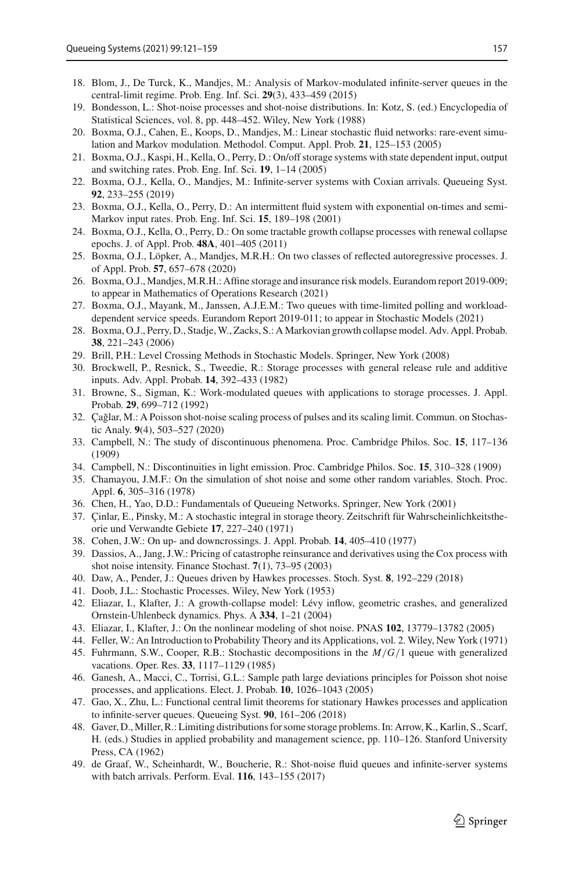- <span id="page-37-27"></span>18. Blom, J., De Turck, K., Mandjes, M.: Analysis of Markov-modulated infinite-server queues in the central-limit regime. Prob. Eng. Inf. Sci. **29**(3), 433–459 (2015)
- <span id="page-37-5"></span>19. Bondesson, L.: Shot-noise processes and shot-noise distributions. In: Kotz, S. (ed.) Encyclopedia of Statistical Sciences, vol. 8, pp. 448–452. Wiley, New York (1988)
- <span id="page-37-26"></span>20. Boxma, O.J., Cahen, E., Koops, D., Mandjes, M.: Linear stochastic fluid networks: rare-event simulation and Markov modulation. Methodol. Comput. Appl. Prob. **21**, 125–153 (2005)
- <span id="page-37-22"></span>21. Boxma, O.J., Kaspi, H., Kella, O., Perry, D.: On/off storage systems with state dependent input, output and switching rates. Prob. Eng. Inf. Sci. **19**, 1–14 (2005)
- <span id="page-37-8"></span>22. Boxma, O.J., Kella, O., Mandjes, M.: Infinite-server systems with Coxian arrivals. Queueing Syst. **92**, 233–255 (2019)
- <span id="page-37-21"></span>23. Boxma, O.J., Kella, O., Perry, D.: An intermittent fluid system with exponential on-times and semi-Markov input rates. Prob. Eng. Inf. Sci. **15**, 189–198 (2001)
- <span id="page-37-23"></span>24. Boxma, O.J., Kella, O., Perry, D.: On some tractable growth collapse processes with renewal collapse epochs. J. of Appl. Prob. **48A**, 401–405 (2011)
- <span id="page-37-18"></span>25. Boxma, O.J., Löpker, A., Mandjes, M.R.H.: On two classes of reflected autoregressive processes. J. of Appl. Prob. **57**, 657–678 (2020)
- <span id="page-37-17"></span>26. Boxma, O.J., Mandjes, M.R.H.: Affine storage and insurance risk models. Eurandom report 2019-009; to appear in Mathematics of Operations Research (2021)
- <span id="page-37-19"></span>27. Boxma, O.J., Mayank, M., Janssen, A.J.E.M.: Two queues with time-limited polling and workloaddependent service speeds. Eurandom Report 2019-011; to appear in Stochastic Models (2021)
- <span id="page-37-24"></span>28. Boxma, O.J., Perry, D., Stadje, W., Zacks, S.: A Markovian growth collapse model. Adv. Appl. Probab. **38**, 221–243 (2006)
- <span id="page-37-10"></span>29. Brill, P.H.: Level Crossing Methods in Stochastic Models. Springer, New York (2008)
- <span id="page-37-15"></span>30. Brockwell, P., Resnick, S., Tweedie, R.: Storage processes with general release rule and additive inputs. Adv. Appl. Probab. **14**, 392–433 (1982)
- <span id="page-37-14"></span>31. Browne, S., Sigman, K.: Work-modulated queues with applications to storage processes. J. Appl. Probab. **29**, 699–712 (1992)
- <span id="page-37-6"></span>32. Çağlar, M.: A Poisson shot-noise scaling process of pulses and its scaling limit. Commun. on Stochastic Analy. **9**(4), 503–527 (2020)
- <span id="page-37-0"></span>33. Campbell, N.: The study of discontinuous phenomena. Proc. Cambridge Philos. Soc. **15**, 117–136 (1909)
- <span id="page-37-1"></span>34. Campbell, N.: Discontinuities in light emission. Proc. Cambridge Philos. Soc. **15**, 310–328 (1909)
- <span id="page-37-12"></span>35. Chamayou, J.M.F.: On the simulation of shot noise and some other random variables. Stoch. Proc. Appl. **6**, 305–316 (1978)
- <span id="page-37-25"></span>36. Chen, H., Yao, D.D.: Fundamentals of Queueing Networks. Springer, New York (2001)
- <span id="page-37-9"></span>37. Çinlar, E., Pinsky, M.: A stochastic integral in storage theory. Zeitschrift für Wahrscheinlichkeitstheorie und Verwandte Gebiete **17**, 227–240 (1971)
- <span id="page-37-11"></span>38. Cohen, J.W.: On up- and downcrossings. J. Appl. Probab. **14**, 405–410 (1977)
- <span id="page-37-28"></span>39. Dassios, A., Jang, J.W.: Pricing of catastrophe reinsurance and derivatives using the Cox process with shot noise intensity. Finance Stochast. **7**(1), 73–95 (2003)
- <span id="page-37-30"></span>40. Daw, A., Pender, J.: Queues driven by Hawkes processes. Stoch. Syst. **8**, 192–229 (2018)
- <span id="page-37-2"></span>41. Doob, J.L.: Stochastic Processes. Wiley, New York (1953)
- <span id="page-37-13"></span>42. Eliazar, I., Klafter, J.: A growth-collapse model: Lévy inflow, geometric crashes, and generalized Ornstein-Uhlenbeck dynamics. Phys. A **334**, 1–21 (2004)
- <span id="page-37-16"></span>43. Eliazar, I., Klafter, J.: On the nonlinear modeling of shot noise. PNAS **102**, 13779–13782 (2005)
- <span id="page-37-3"></span>44. Feller, W.: An Introduction to Probability Theory and its Applications, vol. 2. Wiley, New York (1971)
- <span id="page-37-20"></span>45. Fuhrmann, S.W., Cooper, R.B.: Stochastic decompositions in the *M*/*G*/1 queue with generalized vacations. Oper. Res. **33**, 1117–1129 (1985)
- <span id="page-37-29"></span>46. Ganesh, A., Macci, C., Torrisi, G.L.: Sample path large deviations principles for Poisson shot noise processes, and applications. Elect. J. Probab. **10**, 1026–1043 (2005)
- <span id="page-37-31"></span>47. Gao, X., Zhu, L.: Functional central limit theorems for stationary Hawkes processes and application to infinite-server queues. Queueing Syst. **90**, 161–206 (2018)
- <span id="page-37-4"></span>48. Gaver, D.,Miller, R.: Limiting distributions for some storage problems. In: Arrow, K., Karlin, S., Scarf, H. (eds.) Studies in applied probability and management science, pp. 110–126. Stanford University Press, CA (1962)
- <span id="page-37-7"></span>49. de Graaf, W., Scheinhardt, W., Boucherie, R.: Shot-noise fluid queues and infinite-server systems with batch arrivals. Perform. Eval. **116**, 143–155 (2017)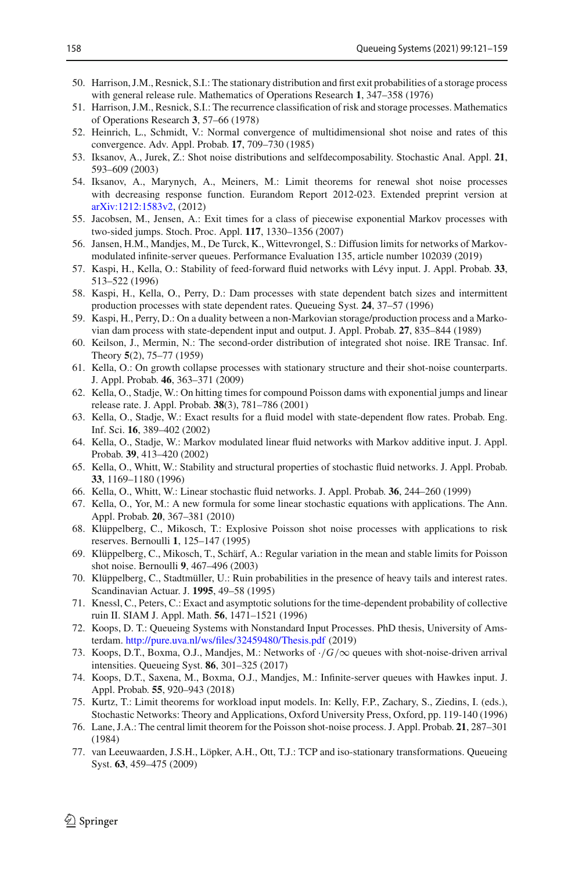- <span id="page-38-13"></span>50. Harrison, J.M., Resnick, S.I.: The stationary distribution and first exit probabilities of a storage process with general release rule. Mathematics of Operations Research **1**, 347–358 (1976)
- <span id="page-38-15"></span>51. Harrison, J.M., Resnick, S.I.: The recurrence classification of risk and storage processes. Mathematics of Operations Research **3**, 57–66 (1978)
- <span id="page-38-2"></span>52. Heinrich, L., Schmidt, V.: Normal convergence of multidimensional shot noise and rates of this convergence. Adv. Appl. Probab. **17**, 709–730 (1985)
- <span id="page-38-1"></span>53. Iksanov, A., Jurek, Z.: Shot noise distributions and selfdecomposability. Stochastic Anal. Appl. **21**, 593–609 (2003)
- <span id="page-38-7"></span>54. Iksanov, A., Marynych, A., Meiners, M.: Limit theorems for renewal shot noise processes with decreasing response function. Eurandom Report 2012-023. Extended preprint version at [arXiv:1212:1583v2,](http://arxiv.org/abs/1212:1583v2) (2012)
- <span id="page-38-17"></span>55. Jacobsen, M., Jensen, A.: Exit times for a class of piecewise exponential Markov processes with two-sided jumps. Stoch. Proc. Appl. **117**, 1330–1356 (2007)
- <span id="page-38-24"></span>56. Jansen, H.M., Mandjes, M., De Turck, K., Wittevrongel, S.: Diffusion limits for networks of Markovmodulated infinite-server queues. Performance Evaluation 135, article number 102039 (2019)
- <span id="page-38-20"></span>57. Kaspi, H., Kella, O.: Stability of feed-forward fluid networks with Lévy input. J. Appl. Probab. **33**, 513–522 (1996)
- <span id="page-38-18"></span>58. Kaspi, H., Kella, O., Perry, D.: Dam processes with state dependent batch sizes and intermittent production processes with state dependent rates. Queueing Syst. **24**, 37–57 (1996)
- <span id="page-38-14"></span>59. Kaspi, H., Perry, D.: On a duality between a non-Markovian storage/production process and a Markovian dam process with state-dependent input and output. J. Appl. Probab. **27**, 835–844 (1989)
- <span id="page-38-0"></span>60. Keilson, J., Mermin, N.: The second-order distribution of integrated shot noise. IRE Transac. Inf. Theory **5**(2), 75–77 (1959)
- <span id="page-38-19"></span>61. Kella, O.: On growth collapse processes with stationary structure and their shot-noise counterparts. J. Appl. Probab. **46**, 363–371 (2009)
- <span id="page-38-11"></span>62. Kella, O., Stadje, W.: On hitting times for compound Poisson dams with exponential jumps and linear release rate. J. Appl. Probab. **38**(3), 781–786 (2001)
- <span id="page-38-23"></span>63. Kella, O., Stadje, W.: Exact results for a fluid model with state-dependent flow rates. Probab. Eng. Inf. Sci. **16**, 389–402 (2002)
- <span id="page-38-22"></span>64. Kella, O., Stadje, W.: Markov modulated linear fluid networks with Markov additive input. J. Appl. Probab. **39**, 413–420 (2002)
- <span id="page-38-21"></span>65. Kella, O., Whitt, W.: Stability and structural properties of stochastic fluid networks. J. Appl. Probab. **33**, 1169–1180 (1996)
- <span id="page-38-8"></span>66. Kella, O., Whitt, W.: Linear stochastic fluid networks. J. Appl. Probab. **36**, 244–260 (1999)
- <span id="page-38-9"></span>67. Kella, O., Yor, M.: A new formula for some linear stochastic equations with applications. The Ann. Appl. Probab. **20**, 367–381 (2010)
- <span id="page-38-3"></span>68. Klüppelberg, C., Mikosch, T.: Explosive Poisson shot noise processes with applications to risk reserves. Bernoulli **1**, 125–147 (1995)
- <span id="page-38-4"></span>69. Klüppelberg, C., Mikosch, T., Schärf, A.: Regular variation in the mean and stable limits for Poisson shot noise. Bernoulli **9**, 467–496 (2003)
- <span id="page-38-12"></span>70. Klüppelberg, C., Stadtmüller, U.: Ruin probabilities in the presence of heavy tails and interest rates. Scandinavian Actuar. J. **1995**, 49–58 (1995)
- <span id="page-38-16"></span>71. Knessl, C., Peters, C.: Exact and asymptotic solutions for the time-dependent probability of collective ruin II. SIAM J. Appl. Math. **56**, 1471–1521 (1996)
- <span id="page-38-10"></span>72. Koops, D. T.: Queueing Systems with Nonstandard Input Processes. PhD thesis, University of Amsterdam. <http://pure.uva.nl/ws/files/32459480/Thesis.pdf> (2019)
- <span id="page-38-25"></span>73. Koops, D.T., Boxma, O.J., Mandjes, M.: Networks of ·/*G*/∞ queues with shot-noise-driven arrival intensities. Queueing Syst. **86**, 301–325 (2017)
- <span id="page-38-26"></span>74. Koops, D.T., Saxena, M., Boxma, O.J., Mandjes, M.: Infinite-server queues with Hawkes input. J. Appl. Probab. **55**, 920–943 (2018)
- <span id="page-38-5"></span>75. Kurtz, T.: Limit theorems for workload input models. In: Kelly, F.P., Zachary, S., Ziedins, I. (eds.), Stochastic Networks: Theory and Applications, Oxford University Press, Oxford, pp. 119-140 (1996)
- <span id="page-38-6"></span>76. Lane, J.A.: The central limit theorem for the Poisson shot-noise process. J. Appl. Probab. **21**, 287–301 (1984)
- 77. van Leeuwaarden, J.S.H., Löpker, A.H., Ott, T.J.: TCP and iso-stationary transformations. Queueing Syst. **63**, 459–475 (2009)